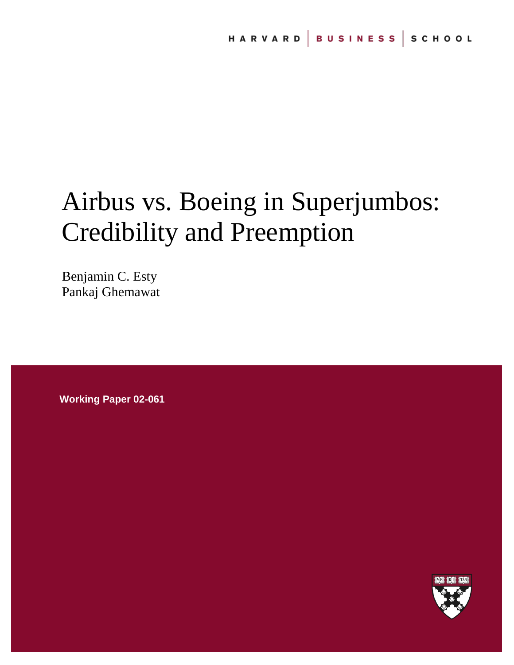Benjamin C. Esty Pankaj Ghemawat

**Working Paper 02-061**

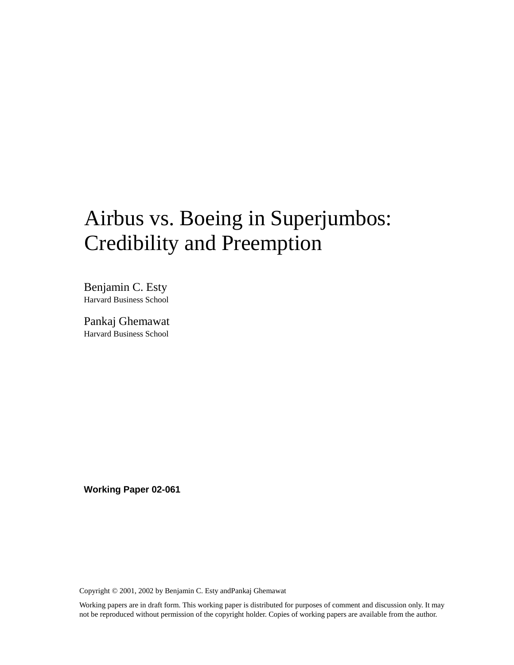Benjamin C. Esty Harvard Business School

Pankaj Ghemawat Harvard Business School

**Working Paper 02-061**

Copyright © 2001, 2002 by Benjamin C. Esty andPankaj Ghemawat

Working papers are in draft form. This working paper is distributed for purposes of comment and discussion only. It may not be reproduced without permission of the copyright holder. Copies of working papers are available from the author.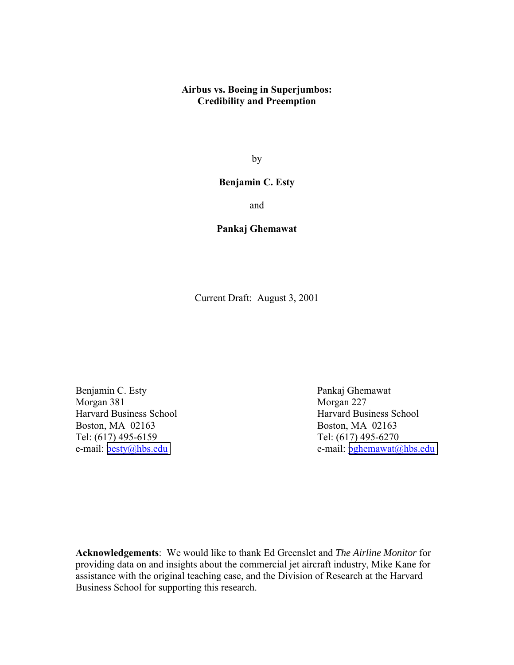by

#### **Benjamin C. Esty**

and

#### **Pankaj Ghemawat**

Current Draft: August 3, 2001

Benjamin C. Esty Pankaj Ghemawat Morgan 381 Morgan 227 Boston, MA 02163 Boston, MA 02163 Tel: (617) 495-6159 Tel: (617) 495-6270

Harvard Business School Harvard Business School e-mail:  $\frac{besty(a)hbs.edu}{ebcsty(ab)}$ 

**Acknowledgements**: We would like to thank Ed Greenslet and *The Airline Monitor* for providing data on and insights about the commercial jet aircraft industry, Mike Kane for assistance with the original teaching case, and the Division of Research at the Harvard Business School for supporting this research.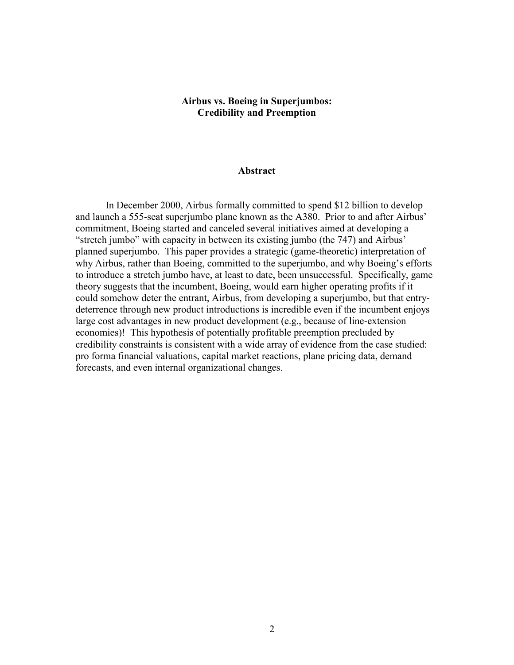#### **Abstract**

In December 2000, Airbus formally committed to spend \$12 billion to develop and launch a 555-seat superjumbo plane known as the A380. Prior to and after Airbus' commitment, Boeing started and canceled several initiatives aimed at developing a "stretch jumbo" with capacity in between its existing jumbo (the 747) and Airbus' planned superjumbo. This paper provides a strategic (game-theoretic) interpretation of why Airbus, rather than Boeing, committed to the superjumbo, and why Boeing's efforts to introduce a stretch jumbo have, at least to date, been unsuccessful. Specifically, game theory suggests that the incumbent, Boeing, would earn higher operating profits if it could somehow deter the entrant, Airbus, from developing a superjumbo, but that entrydeterrence through new product introductions is incredible even if the incumbent enjoys large cost advantages in new product development (e.g., because of line-extension economies)! This hypothesis of potentially profitable preemption precluded by credibility constraints is consistent with a wide array of evidence from the case studied: pro forma financial valuations, capital market reactions, plane pricing data, demand forecasts, and even internal organizational changes.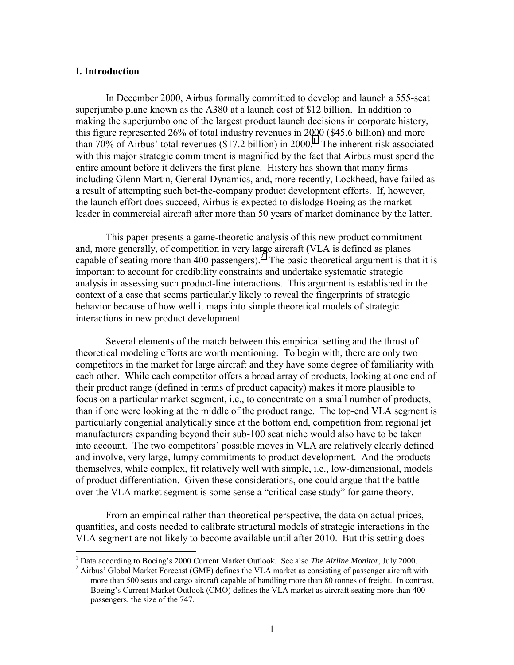#### **I. Introduction**

 $\overline{a}$ 

In December 2000, Airbus formally committed to develop and launch a 555-seat superjumbo plane known as the A380 at a launch cost of \$12 billion. In addition to making the superjumbo one of the largest product launch decisions in corporate history, this figure represented 26% of total industry revenues in 2000 (\$45.6 billion) and more than  $70\%$  of Airbus' total revenues (\$17.2 billion) in 2000.<sup>1</sup> The inherent risk associated with this major strategic commitment is magnified by the fact that Airbus must spend the entire amount before it delivers the first plane. History has shown that many firms including Glenn Martin, General Dynamics, and, more recently, Lockheed, have failed as a result of attempting such bet-the-company product development efforts. If, however, the launch effort does succeed, Airbus is expected to dislodge Boeing as the market leader in commercial aircraft after more than 50 years of market dominance by the latter.

This paper presents a game-theoretic analysis of this new product commitment and, more generally, of competition in very large aircraft (VLA is defined as planes capable of seating more than 400 passengers).<sup>2</sup> The basic theoretical argument is that it is important to account for credibility constraints and undertake systematic strategic analysis in assessing such product-line interactions. This argument is established in the context of a case that seems particularly likely to reveal the fingerprints of strategic behavior because of how well it maps into simple theoretical models of strategic interactions in new product development.

Several elements of the match between this empirical setting and the thrust of theoretical modeling efforts are worth mentioning. To begin with, there are only two competitors in the market for large aircraft and they have some degree of familiarity with each other. While each competitor offers a broad array of products, looking at one end of their product range (defined in terms of product capacity) makes it more plausible to focus on a particular market segment, i.e., to concentrate on a small number of products, than if one were looking at the middle of the product range. The top-end VLA segment is particularly congenial analytically since at the bottom end, competition from regional jet manufacturers expanding beyond their sub-100 seat niche would also have to be taken into account. The two competitors' possible moves in VLA are relatively clearly defined and involve, very large, lumpy commitments to product development. And the products themselves, while complex, fit relatively well with simple, i.e., low-dimensional, models of product differentiation. Given these considerations, one could argue that the battle over the VLA market segment is some sense a "critical case study" for game theory.

From an empirical rather than theoretical perspective, the data on actual prices, quantities, and costs needed to calibrate structural models of strategic interactions in the VLA segment are not likely to become available until after 2010. But this setting does

<sup>&</sup>lt;sup>1</sup> Data according to Boeing's 2000 Current Market Outlook. See also *The Airline Monitor*, July 2000.

<sup>&</sup>lt;sup>2</sup> Airbus' Global Market Forecast (GMF) defines the VLA market as consisting of passenger aircraft with more than 500 seats and cargo aircraft capable of handling more than 80 tonnes of freight. In contrast, Boeing's Current Market Outlook (CMO) defines the VLA market as aircraft seating more than 400 passengers, the size of the 747.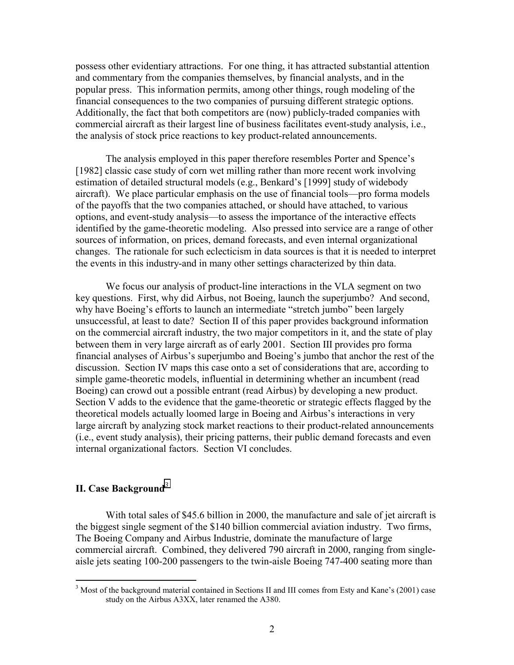possess other evidentiary attractions. For one thing, it has attracted substantial attention and commentary from the companies themselves, by financial analysts, and in the popular press. This information permits, among other things, rough modeling of the financial consequences to the two companies of pursuing different strategic options. Additionally, the fact that both competitors are (now) publicly-traded companies with commercial aircraft as their largest line of business facilitates event-study analysis, i.e., the analysis of stock price reactions to key product-related announcements.

The analysis employed in this paper therefore resembles Porter and Spence's [1982] classic case study of corn wet milling rather than more recent work involving estimation of detailed structural models (e.g., Benkard's [1999] study of widebody aircraft). We place particular emphasis on the use of financial tools—pro forma models of the payoffs that the two companies attached, or should have attached, to various options, and event-study analysis—to assess the importance of the interactive effects identified by the game-theoretic modeling. Also pressed into service are a range of other sources of information, on prices, demand forecasts, and even internal organizational changes. The rationale for such eclecticism in data sources is that it is needed to interpret the events in this industry-and in many other settings characterized by thin data.

We focus our analysis of product-line interactions in the VLA segment on two key questions. First, why did Airbus, not Boeing, launch the superjumbo? And second, why have Boeing's efforts to launch an intermediate "stretch jumbo" been largely unsuccessful, at least to date? Section II of this paper provides background information on the commercial aircraft industry, the two major competitors in it, and the state of play between them in very large aircraft as of early 2001. Section III provides pro forma financial analyses of Airbus's superjumbo and Boeing's jumbo that anchor the rest of the discussion. Section IV maps this case onto a set of considerations that are, according to simple game-theoretic models, influential in determining whether an incumbent (read Boeing) can crowd out a possible entrant (read Airbus) by developing a new product. Section V adds to the evidence that the game-theoretic or strategic effects flagged by the theoretical models actually loomed large in Boeing and Airbus's interactions in very large aircraft by analyzing stock market reactions to their product-related announcements (i.e., event study analysis), their pricing patterns, their public demand forecasts and even internal organizational factors. Section VI concludes.

#### **II. Case Background***<sup>3</sup>*

 $\overline{a}$ 

With total sales of \$45.6 billion in 2000, the manufacture and sale of jet aircraft is the biggest single segment of the \$140 billion commercial aviation industry. Two firms, The Boeing Company and Airbus Industrie, dominate the manufacture of large commercial aircraft. Combined, they delivered 790 aircraft in 2000, ranging from singleaisle jets seating 100-200 passengers to the twin-aisle Boeing 747-400 seating more than

 $3$  Most of the background material contained in Sections II and III comes from Esty and Kane's (2001) case study on the Airbus A3XX, later renamed the A380.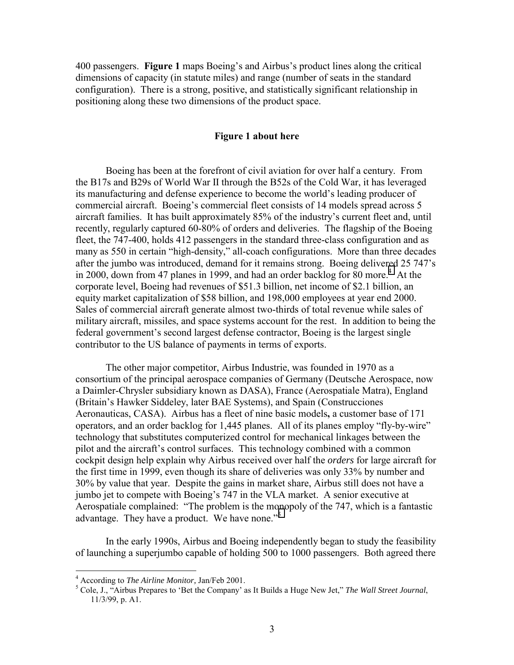400 passengers. **Figure 1** maps Boeing's and Airbus's product lines along the critical dimensions of capacity (in statute miles) and range (number of seats in the standard configuration). There is a strong, positive, and statistically significant relationship in positioning along these two dimensions of the product space.

#### **Figure 1 about here**

Boeing has been at the forefront of civil aviation for over half a century. From the B17s and B29s of World War II through the B52s of the Cold War, it has leveraged its manufacturing and defense experience to become the world's leading producer of commercial aircraft. Boeing's commercial fleet consists of 14 models spread across 5 aircraft families. It has built approximately 85% of the industry's current fleet and, until recently, regularly captured 60-80% of orders and deliveries. The flagship of the Boeing fleet, the 747-400, holds 412 passengers in the standard three-class configuration and as many as 550 in certain "high-density," all-coach configurations. More than three decades after the jumbo was introduced, demand for it remains strong. Boeing delivered 25 747's in 2000, down from 47 planes in 1999, and had an order backlog for  $80$  more.<sup>4</sup> At the corporate level, Boeing had revenues of \$51.3 billion, net income of \$2.1 billion, an equity market capitalization of \$58 billion, and 198,000 employees at year end 2000. Sales of commercial aircraft generate almost two-thirds of total revenue while sales of military aircraft, missiles, and space systems account for the rest. In addition to being the federal government's second largest defense contractor, Boeing is the largest single contributor to the US balance of payments in terms of exports.

The other major competitor, Airbus Industrie, was founded in 1970 as a consortium of the principal aerospace companies of Germany (Deutsche Aerospace, now a Daimler-Chrysler subsidiary known as DASA), France (Aerospatiale Matra), England (Britain's Hawker Siddeley, later BAE Systems), and Spain (Construcciones Aeronauticas, CASA). Airbus has a fleet of nine basic models**,** a customer base of 171 operators, and an order backlog for 1,445 planes. All of its planes employ "fly-by-wire" technology that substitutes computerized control for mechanical linkages between the pilot and the aircraft's control surfaces. This technology combined with a common cockpit design help explain why Airbus received over half the *orders* for large aircraft for the first time in 1999, even though its share of deliveries was only 33% by number and 30% by value that year. Despite the gains in market share, Airbus still does not have a jumbo jet to compete with Boeing's 747 in the VLA market. A senior executive at Aerospatiale complained: "The problem is the monopoly of the 747, which is a fantastic advantage. They have a product. We have none."<sup>5</sup>

In the early 1990s, Airbus and Boeing independently began to study the feasibility of launching a superjumbo capable of holding 500 to 1000 passengers. Both agreed there

 $4$  According to The Airline Monitor, Jan/Feb 2001.

<sup>&</sup>lt;sup>5</sup> Cole, J., "Airbus Prepares to 'Bet the Company' as It Builds a Huge New Jet," *The Wall Street Journal*, 11/3/99, p. A1.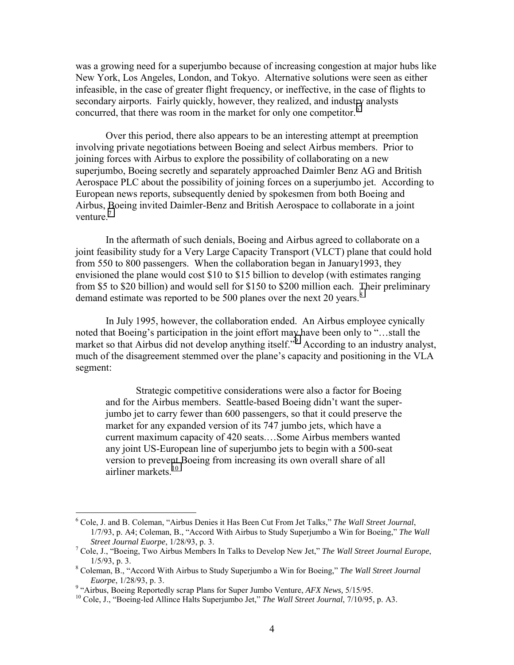was a growing need for a superjumbo because of increasing congestion at major hubs like New York, Los Angeles, London, and Tokyo. Alternative solutions were seen as either infeasible, in the case of greater flight frequency, or ineffective, in the case of flights to secondary airports. Fairly quickly, however, they realized, and industry analysts concurred, that there was room in the market for only one competitor.<sup>6</sup>

Over this period, there also appears to be an interesting attempt at preemption involving private negotiations between Boeing and select Airbus members. Prior to joining forces with Airbus to explore the possibility of collaborating on a new superjumbo, Boeing secretly and separately approached Daimler Benz AG and British Aerospace PLC about the possibility of joining forces on a superjumbo jet. According to European news reports, subsequently denied by spokesmen from both Boeing and Airbus, Boeing invited Daimler-Benz and British Aerospace to collaborate in a joint venture.<sup>7</sup>

In the aftermath of such denials, Boeing and Airbus agreed to collaborate on a joint feasibility study for a Very Large Capacity Transport (VLCT) plane that could hold from 550 to 800 passengers. When the collaboration began in January1993, they envisioned the plane would cost \$10 to \$15 billion to develop (with estimates ranging from \$5 to \$20 billion) and would sell for \$150 to \$200 million each. Their preliminary demand estimate was reported to be 500 planes over the next 20 years.<sup>8</sup>

In July 1995, however, the collaboration ended. An Airbus employee cynically noted that Boeing's participation in the joint effort may have been only to "…stall the market so that Airbus did not develop anything itself.<sup>39</sup> According to an industry analyst, much of the disagreement stemmed over the plane's capacity and positioning in the VLA segment:

Strategic competitive considerations were also a factor for Boeing and for the Airbus members. Seattle-based Boeing didn't want the superjumbo jet to carry fewer than 600 passengers, so that it could preserve the market for any expanded version of its 747 jumbo jets, which have a current maximum capacity of 420 seats.…Some Airbus members wanted any joint US-European line of superjumbo jets to begin with a 500-seat version to prevent Boeing from increasing its own overall share of all airliner markets.<sup>10</sup>

<sup>6</sup> Cole, J. and B. Coleman, "Airbus Denies it Has Been Cut From Jet Talks," *The Wall Street Journal*, 1/7/93, p. A4; Coleman, B., "Accord With Airbus to Study Superjumbo a Win for Boeing," *The Wall Street Journal Euorpe*,  $1/28/93$ , p. 3.

Cole, J., "Boeing, Two Airbus Members In Talks to Develop New Jet," *The Wall Street Journal Europe*,  $1/5/93$ , p. 3.

Coleman, B., "Accord With Airbus to Study Superjumbo a Win for Boeing," *The Wall Street Journal Euorpe*, 1/28/93, p. 3.<br><sup>9</sup> "Airbus. Boeing Reportedly scrap Plans for Super Jumbo Venture, *AFX News*, 5/15/95.

<sup>&</sup>lt;sup>10</sup> Cole, J., "Boeing-led Allince Halts Superjumbo Jet," *The Wall Street Journal*, 7/10/95, p. A3.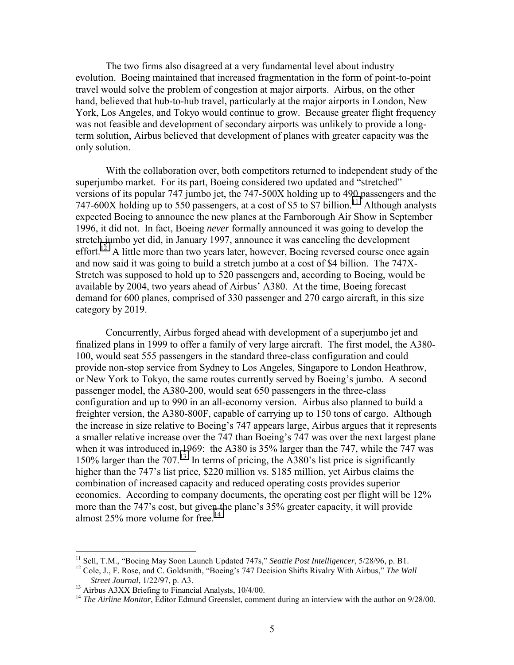The two firms also disagreed at a very fundamental level about industry evolution. Boeing maintained that increased fragmentation in the form of point-to-point travel would solve the problem of congestion at major airports. Airbus, on the other hand, believed that hub-to-hub travel, particularly at the major airports in London, New York, Los Angeles, and Tokyo would continue to grow. Because greater flight frequency was not feasible and development of secondary airports was unlikely to provide a longterm solution, Airbus believed that development of planes with greater capacity was the only solution.

With the collaboration over, both competitors returned to independent study of the superjumbo market. For its part, Boeing considered two updated and "stretched" versions of its popular 747 jumbo jet, the 747-500X holding up to 490 passengers and the 747-600X holding up to 550 passengers, at a cost of \$5 to \$7 billion.<sup>11</sup> Although analysts expected Boeing to announce the new planes at the Farnborough Air Show in September 1996, it did not. In fact, Boeing *never* formally announced it was going to develop the stretch jumbo yet did, in January 1997, announce it was canceling the development effort.<sup>12</sup> A little more than two years later, however, Boeing reversed course once again and now said it was going to build a stretch jumbo at a cost of \$4 billion. The 747X-Stretch was supposed to hold up to 520 passengers and, according to Boeing, would be available by 2004, two years ahead of Airbus' A380. At the time, Boeing forecast demand for 600 planes, comprised of 330 passenger and 270 cargo aircraft, in this size category by 2019.

Concurrently, Airbus forged ahead with development of a superjumbo jet and finalized plans in 1999 to offer a family of very large aircraft. The first model, the A380- 100, would seat 555 passengers in the standard three-class configuration and could provide non-stop service from Sydney to Los Angeles, Singapore to London Heathrow, or New York to Tokyo, the same routes currently served by Boeing's jumbo. A second passenger model, the A380-200, would seat 650 passengers in the three-class configuration and up to 990 in an all-economy version. Airbus also planned to build a freighter version, the A380-800F, capable of carrying up to 150 tons of cargo. Although the increase in size relative to Boeing's 747 appears large, Airbus argues that it represents a smaller relative increase over the 747 than Boeing's 747 was over the next largest plane when it was introduced in 1969: the A380 is 35% larger than the 747, while the 747 was 150% larger than the 707.<sup>13</sup> In terms of pricing, the  $\overline{A}380$ 's list price is significantly higher than the 747's list price, \$220 million vs. \$185 million, yet Airbus claims the combination of increased capacity and reduced operating costs provides superior economics. According to company documents, the operating cost per flight will be 12% more than the 747's cost, but given the plane's 35% greater capacity, it will provide almost 25% more volume for free.<sup>14</sup>

<sup>&</sup>lt;sup>11</sup> Sell, T.M., "Boeing May Soon Launch Updated 747s," *Seattle Post Intelligencer*, 5/28/96, p. B1.<br><sup>12</sup> Cole, J., F. Rose, and C. Goldsmith, "Boeing's 747 Decision Shifts Rivalry With Airbus," *The Wall* 

*Street Journal*, 1/22/97, p. A3.<br><sup>13</sup> Airbus A3XX Briefing to Financial Analysts, 10/4/00.

<sup>&</sup>lt;sup>14</sup> *The Airline Monitor*, Editor Edmund Greenslet, comment during an interview with the author on 9/28/00.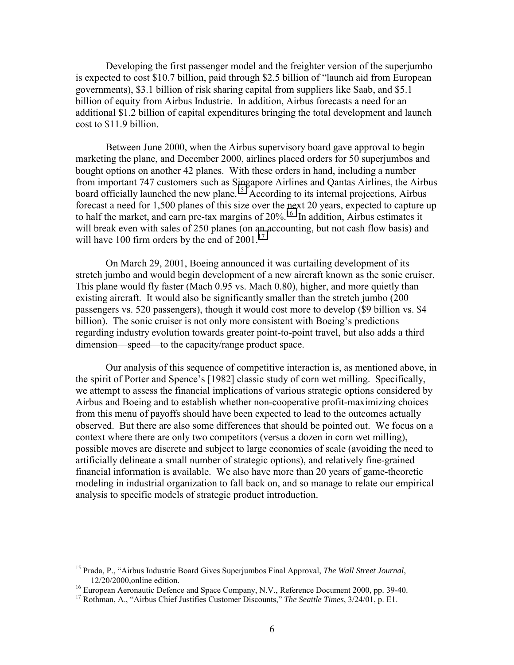Developing the first passenger model and the freighter version of the superjumbo is expected to cost \$10.7 billion, paid through \$2.5 billion of "launch aid from European governments), \$3.1 billion of risk sharing capital from suppliers like Saab, and \$5.1 billion of equity from Airbus Industrie. In addition, Airbus forecasts a need for an additional \$1.2 billion of capital expenditures bringing the total development and launch cost to \$11.9 billion.

Between June 2000, when the Airbus supervisory board gave approval to begin marketing the plane, and December 2000, airlines placed orders for 50 superjumbos and bought options on another 42 planes. With these orders in hand, including a number from important 747 customers such as Singapore Airlines and Qantas Airlines, the Airbus board officially launched the new plane.<sup>15</sup> According to its internal projections, Airbus forecast a need for 1,500 planes of this size over the next 20 years, expected to capture up to half the market, and earn pre-tax margins of  $20\%$ .<sup>16</sup> In addition, Airbus estimates it will break even with sales of 250 planes (on an accounting, but not cash flow basis) and will have 100 firm orders by the end of  $2001$ .<sup>17</sup>

On March 29, 2001, Boeing announced it was curtailing development of its stretch jumbo and would begin development of a new aircraft known as the sonic cruiser. This plane would fly faster (Mach 0.95 vs. Mach 0.80), higher, and more quietly than existing aircraft. It would also be significantly smaller than the stretch jumbo (200 passengers vs. 520 passengers), though it would cost more to develop (\$9 billion vs. \$4 billion). The sonic cruiser is not only more consistent with Boeing's predictions regarding industry evolution towards greater point-to-point travel, but also adds a third dimension—speed—to the capacity/range product space.

Our analysis of this sequence of competitive interaction is, as mentioned above, in the spirit of Porter and Spence's [1982] classic study of corn wet milling. Specifically, we attempt to assess the financial implications of various strategic options considered by Airbus and Boeing and to establish whether non-cooperative profit-maximizing choices from this menu of payoffs should have been expected to lead to the outcomes actually observed. But there are also some differences that should be pointed out. We focus on a context where there are only two competitors (versus a dozen in corn wet milling), possible moves are discrete and subject to large economies of scale (avoiding the need to artificially delineate a small number of strategic options), and relatively fine-grained financial information is available. We also have more than 20 years of game-theoretic modeling in industrial organization to fall back on, and so manage to relate our empirical analysis to specific models of strategic product introduction.

<sup>&</sup>lt;sup>15</sup> Prada, P., "Airbus Industrie Board Gives Superjumbos Final Approval, *The Wall Street Journal*, <br>12/20/2000 online edition.

 $16$  European Aeronautic Defence and Space Company, N.V., Reference Document 2000, pp. 39-40.

<sup>17</sup> Rothman, A., "Airbus Chief Justifies Customer Discounts," *The Seattle Times*, 3/24/01, p. E1.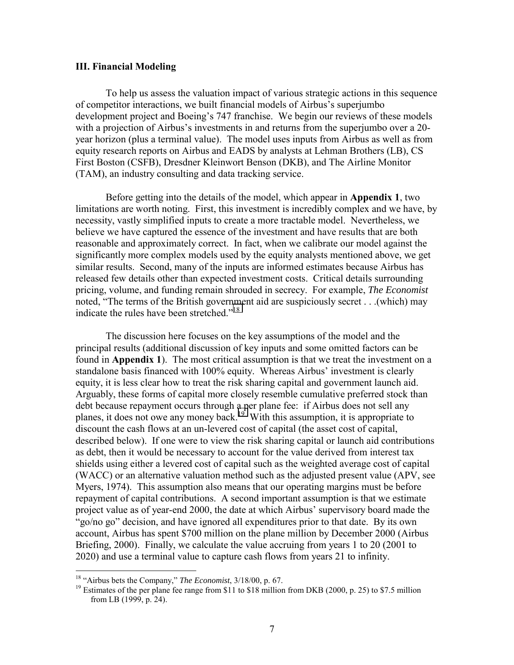#### **III. Financial Modeling**

To help us assess the valuation impact of various strategic actions in this sequence of competitor interactions, we built financial models of Airbus's superjumbo development project and Boeing's 747 franchise. We begin our reviews of these models with a projection of Airbus's investments in and returns from the superjumbo over a 20 year horizon (plus a terminal value). The model uses inputs from Airbus as well as from equity research reports on Airbus and EADS by analysts at Lehman Brothers (LB), CS First Boston (CSFB), Dresdner Kleinwort Benson (DKB), and The Airline Monitor (TAM), an industry consulting and data tracking service.

Before getting into the details of the model, which appear in **Appendix 1**, two limitations are worth noting. First, this investment is incredibly complex and we have, by necessity, vastly simplified inputs to create a more tractable model. Nevertheless, we believe we have captured the essence of the investment and have results that are both reasonable and approximately correct. In fact, when we calibrate our model against the significantly more complex models used by the equity analysts mentioned above, we get similar results. Second, many of the inputs are informed estimates because Airbus has released few details other than expected investment costs. Critical details surrounding pricing, volume, and funding remain shrouded in secrecy. For example, *The Economist* noted, "The terms of the British government aid are suspiciously secret . . .(which) may indicate the rules have been stretched."<sup>18</sup>

The discussion here focuses on the key assumptions of the model and the principal results (additional discussion of key inputs and some omitted factors can be found in **Appendix 1**). The most critical assumption is that we treat the investment on a standalone basis financed with 100% equity. Whereas Airbus' investment is clearly equity, it is less clear how to treat the risk sharing capital and government launch aid. Arguably, these forms of capital more closely resemble cumulative preferred stock than debt because repayment occurs through a per plane fee: if Airbus does not sell any planes, it does not owe any money back.<sup>19</sup> With this assumption, it is appropriate to discount the cash flows at an un-levered cost of capital (the asset cost of capital, described below). If one were to view the risk sharing capital or launch aid contributions as debt, then it would be necessary to account for the value derived from interest tax shields using either a levered cost of capital such as the weighted average cost of capital (WACC) or an alternative valuation method such as the adjusted present value (APV, see Myers, 1974). This assumption also means that our operating margins must be before repayment of capital contributions. A second important assumption is that we estimate project value as of year-end 2000, the date at which Airbus' supervisory board made the "go/no go" decision, and have ignored all expenditures prior to that date. By its own account, Airbus has spent \$700 million on the plane million by December 2000 (Airbus Briefing, 2000). Finally, we calculate the value accruing from years 1 to 20 (2001 to 2020) and use a terminal value to capture cash flows from years 21 to infinity.

<sup>&</sup>lt;sup>18</sup> "Airbus bets the Company," *The Economist*,  $3/18/00$ , p. 67.<br><sup>19</sup> Estimates of the per plane fee range from \$11 to \$18 million from DKB (2000, p. 25) to \$7.5 million from LB (1999, p. 24).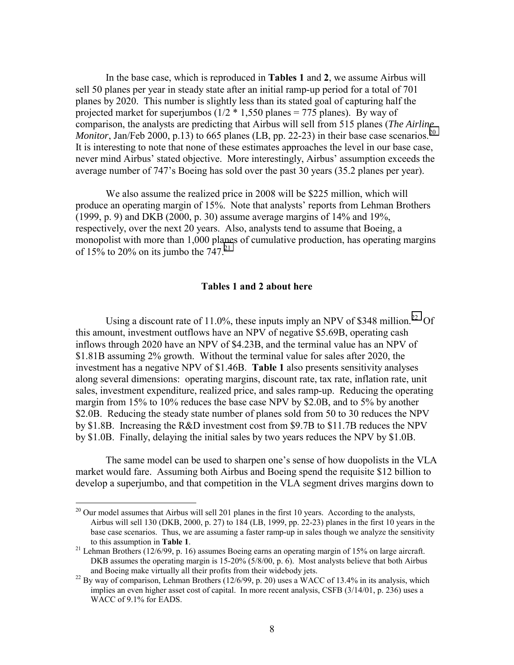In the base case, which is reproduced in **Tables 1** and **2**, we assume Airbus will sell 50 planes per year in steady state after an initial ramp-up period for a total of 701 planes by 2020. This number is slightly less than its stated goal of capturing half the projected market for superjumbos ( $1/2 * 1,550$  planes = 775 planes). By way of comparison, the analysts are predicting that Airbus will sell from 515 planes (*The Airline Monitor*, Jan/Feb 2000, p.13) to 665 planes (LB, pp. 22-23) in their base case scenarios.<sup>20</sup> It is interesting to note that none of these estimates approaches the level in our base case, never mind Airbus' stated objective. More interestingly, Airbus' assumption exceeds the average number of 747's Boeing has sold over the past 30 years (35.2 planes per year).

We also assume the realized price in 2008 will be \$225 million, which will produce an operating margin of 15%. Note that analysts' reports from Lehman Brothers (1999, p. 9) and DKB (2000, p. 30) assume average margins of 14% and 19%, respectively, over the next 20 years. Also, analysts tend to assume that Boeing, a monopolist with more than 1,000 planes of cumulative production, has operating margins of 15% to 20% on its jumbo the  $747<sup>21</sup>$ 

#### **Tables 1 and 2 about here**

Using a discount rate of 11.0%, these inputs imply an NPV of \$348 million.<sup>22</sup> Of this amount, investment outflows have an NPV of negative \$5.69B, operating cash inflows through 2020 have an NPV of \$4.23B, and the terminal value has an NPV of \$1.81B assuming 2% growth. Without the terminal value for sales after 2020, the investment has a negative NPV of \$1.46B. **Table 1** also presents sensitivity analyses along several dimensions: operating margins, discount rate, tax rate, inflation rate, unit sales, investment expenditure, realized price, and sales ramp-up. Reducing the operating margin from 15% to 10% reduces the base case NPV by \$2.0B, and to 5% by another \$2.0B. Reducing the steady state number of planes sold from 50 to 30 reduces the NPV by \$1.8B. Increasing the R&D investment cost from \$9.7B to \$11.7B reduces the NPV by \$1.0B. Finally, delaying the initial sales by two years reduces the NPV by \$1.0B.

The same model can be used to sharpen one's sense of how duopolists in the VLA market would fare. Assuming both Airbus and Boeing spend the requisite \$12 billion to develop a superjumbo, and that competition in the VLA segment drives margins down to

 $20$  Our model assumes that Airbus will sell 201 planes in the first 10 years. According to the analysts, Airbus will sell 130 (DKB, 2000, p. 27) to 184 (LB, 1999, pp. 22-23) planes in the first 10 years in the base case scenarios. Thus, we are assuming a faster ramp-up in sales though we analyze the sensitivity to this assumption in **Table 1**. 21 Lehman Brothers (12/6/99, p. 16) assumes Boeing earns an operating margin of 15% on large aircraft.

DKB assumes the operating margin is 15-20% (5/8/00, p. 6). Most analysts believe that both Airbus and Boeing make virtually all their profits from their widebody jets.<br><sup>22</sup> By way of comparison, Lehman Brothers (12/6/99, p. 20) uses a WACC of 13.4% in its analysis, which

implies an even higher asset cost of capital. In more recent analysis, CSFB (3/14/01, p. 236) uses a WACC of 9.1% for EADS.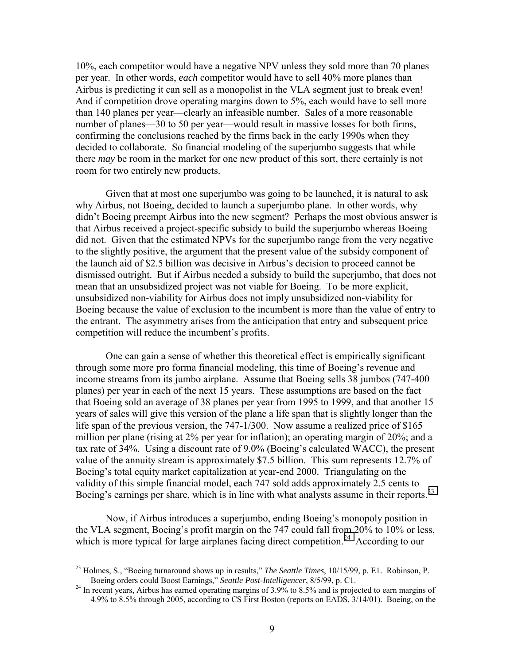10%, each competitor would have a negative NPV unless they sold more than 70 planes per year. In other words, *each* competitor would have to sell 40% more planes than Airbus is predicting it can sell as a monopolist in the VLA segment just to break even! And if competition drove operating margins down to 5%, each would have to sell more than 140 planes per year—clearly an infeasible number. Sales of a more reasonable number of planes—30 to 50 per year—would result in massive losses for both firms, confirming the conclusions reached by the firms back in the early 1990s when they decided to collaborate. So financial modeling of the superjumbo suggests that while there *may* be room in the market for one new product of this sort, there certainly is not room for two entirely new products.

Given that at most one superjumbo was going to be launched, it is natural to ask why Airbus, not Boeing, decided to launch a superjumbo plane. In other words, why didn't Boeing preempt Airbus into the new segment? Perhaps the most obvious answer is that Airbus received a project-specific subsidy to build the superjumbo whereas Boeing did not. Given that the estimated NPVs for the superjumbo range from the very negative to the slightly positive, the argument that the present value of the subsidy component of the launch aid of \$2.5 billion was decisive in Airbus's decision to proceed cannot be dismissed outright. But if Airbus needed a subsidy to build the superjumbo, that does not mean that an unsubsidized project was not viable for Boeing. To be more explicit, unsubsidized non-viability for Airbus does not imply unsubsidized non-viability for Boeing because the value of exclusion to the incumbent is more than the value of entry to the entrant. The asymmetry arises from the anticipation that entry and subsequent price competition will reduce the incumbent's profits.

One can gain a sense of whether this theoretical effect is empirically significant through some more pro forma financial modeling, this time of Boeing's revenue and income streams from its jumbo airplane. Assume that Boeing sells 38 jumbos (747-400 planes) per year in each of the next 15 years. These assumptions are based on the fact that Boeing sold an average of 38 planes per year from 1995 to 1999, and that another 15 years of sales will give this version of the plane a life span that is slightly longer than the life span of the previous version, the 747-1/300. Now assume a realized price of \$165 million per plane (rising at 2% per year for inflation); an operating margin of 20%; and a tax rate of 34%. Using a discount rate of 9.0% (Boeing's calculated WACC), the present value of the annuity stream is approximately \$7.5 billion. This sum represents 12.7% of Boeing's total equity market capitalization at year-end 2000. Triangulating on the validity of this simple financial model, each 747 sold adds approximately 2.5 cents to Boeing's earnings per share, which is in line with what analysts assume in their reports.<sup>23</sup>

Now, if Airbus introduces a superjumbo, ending Boeing's monopoly position in the VLA segment, Boeing's profit margin on the 747 could fall from 20% to 10% or less, which is more typical for large airplanes facing direct competition.<sup>24</sup> According to our

<sup>&</sup>lt;sup>23</sup> Holmes, S., "Boeing turnaround shows up in results," *The Seattle Times*, 10/15/99, p. E1. Robinson, P. Boeing orders could Boost Earnings," *Seattle Post-Intelligencer*, 8/5/99, p. C1.

<sup>&</sup>lt;sup>24</sup> In recent years, Airbus has earned operating margins of 3.9% to 8.5% and is projected to earn margins of 4.9% to 8.5% through 2005, according to CS First Boston (reports on EADS, 3/14/01). Boeing, on the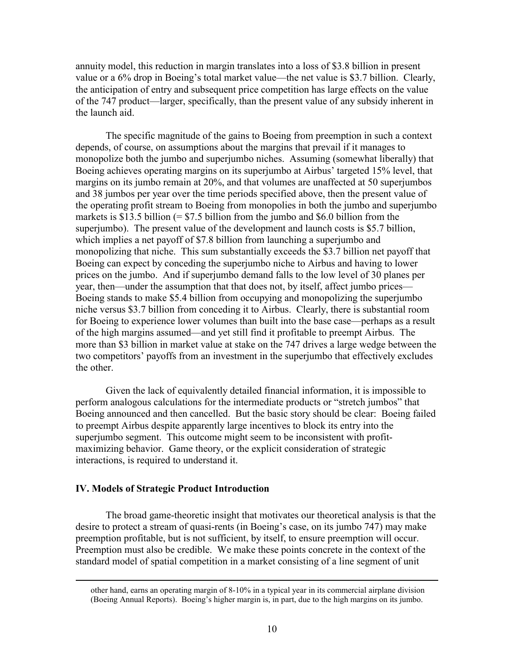annuity model, this reduction in margin translates into a loss of \$3.8 billion in present value or a 6% drop in Boeing's total market value—the net value is \$3.7 billion. Clearly, the anticipation of entry and subsequent price competition has large effects on the value of the 747 product—larger, specifically, than the present value of any subsidy inherent in the launch aid.

The specific magnitude of the gains to Boeing from preemption in such a context depends, of course, on assumptions about the margins that prevail if it manages to monopolize both the jumbo and superjumbo niches. Assuming (somewhat liberally) that Boeing achieves operating margins on its superjumbo at Airbus' targeted 15% level, that margins on its jumbo remain at 20%, and that volumes are unaffected at 50 superjumbos and 38 jumbos per year over the time periods specified above, then the present value of the operating profit stream to Boeing from monopolies in both the jumbo and superjumbo markets is \$13.5 billion (=  $$7.5$  billion from the jumbo and \$6.0 billion from the superjumbo). The present value of the development and launch costs is \$5.7 billion, which implies a net payoff of \$7.8 billion from launching a superjumbo and monopolizing that niche. This sum substantially exceeds the \$3.7 billion net payoff that Boeing can expect by conceding the superjumbo niche to Airbus and having to lower prices on the jumbo. And if superjumbo demand falls to the low level of 30 planes per year, then—under the assumption that that does not, by itself, affect jumbo prices— Boeing stands to make \$5.4 billion from occupying and monopolizing the superjumbo niche versus \$3.7 billion from conceding it to Airbus. Clearly, there is substantial room for Boeing to experience lower volumes than built into the base case—perhaps as a result of the high margins assumed—and yet still find it profitable to preempt Airbus. The more than \$3 billion in market value at stake on the 747 drives a large wedge between the two competitors' payoffs from an investment in the superjumbo that effectively excludes the other.

Given the lack of equivalently detailed financial information, it is impossible to perform analogous calculations for the intermediate products or "stretch jumbos" that Boeing announced and then cancelled. But the basic story should be clear: Boeing failed to preempt Airbus despite apparently large incentives to block its entry into the superjumbo segment. This outcome might seem to be inconsistent with profitmaximizing behavior. Game theory, or the explicit consideration of strategic interactions, is required to understand it.

#### **IV. Models of Strategic Product Introduction**

The broad game-theoretic insight that motivates our theoretical analysis is that the desire to protect a stream of quasi-rents (in Boeing's case, on its jumbo 747) may make preemption profitable, but is not sufficient, by itself, to ensure preemption will occur. Preemption must also be credible. We make these points concrete in the context of the standard model of spatial competition in a market consisting of a line segment of unit

other hand, earns an operating margin of 8-10% in a typical year in its commercial airplane division (Boeing Annual Reports). Boeing's higher margin is, in part, due to the high margins on its jumbo.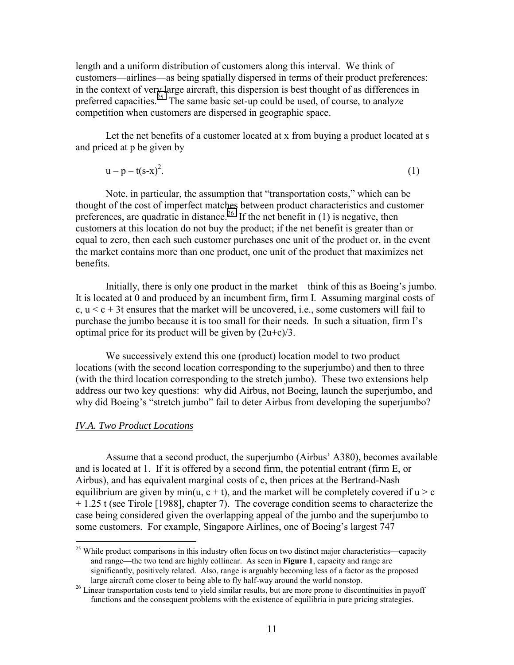length and a uniform distribution of customers along this interval. We think of customers—airlines—as being spatially dispersed in terms of their product preferences: in the context of very large aircraft, this dispersion is best thought of as differences in preferred capacities.<sup>25</sup> The same basic set-up could be used, of course, to analyze competition when customers are dispersed in geographic space.

Let the net benefits of a customer located at x from buying a product located at s and priced at p be given by

$$
u - p - t(s - x)^2. \tag{1}
$$

Note, in particular, the assumption that "transportation costs," which can be thought of the cost of imperfect matches between product characteristics and customer preferences, are quadratic in distance.<sup>26</sup> If the net benefit in  $(1)$  is negative, then customers at this location do not buy the product; if the net benefit is greater than or equal to zero, then each such customer purchases one unit of the product or, in the event the market contains more than one product, one unit of the product that maximizes net benefits.

Initially, there is only one product in the market—think of this as Boeing's jumbo. It is located at 0 and produced by an incumbent firm, firm I. Assuming marginal costs of c,  $u < c + 3t$  ensures that the market will be uncovered, i.e., some customers will fail to purchase the jumbo because it is too small for their needs. In such a situation, firm I's optimal price for its product will be given by  $(2u+c)/3$ .

We successively extend this one (product) location model to two product locations (with the second location corresponding to the superjumbo) and then to three (with the third location corresponding to the stretch jumbo). These two extensions help address our two key questions: why did Airbus, not Boeing, launch the superjumbo, and why did Boeing's "stretch jumbo" fail to deter Airbus from developing the superjumbo?

#### *IV.A. Two Product Locations*

 $\overline{a}$ 

Assume that a second product, the superjumbo (Airbus' A380), becomes available and is located at 1. If it is offered by a second firm, the potential entrant (firm E, or Airbus), and has equivalent marginal costs of c, then prices at the Bertrand-Nash equilibrium are given by min(u,  $c + t$ ), and the market will be completely covered if  $u > c$ + 1.25 t (see Tirole [1988], chapter 7). The coverage condition seems to characterize the case being considered given the overlapping appeal of the jumbo and the superjumbo to some customers. For example, Singapore Airlines, one of Boeing's largest 747

<sup>&</sup>lt;sup>25</sup> While product comparisons in this industry often focus on two distinct major characteristics—capacity and range—the two tend are highly collinear. As seen in **Figure 1**, capacity and range are significantly, positively related. Also, range is arguably becoming less of a factor as the proposed large aircraft come closer to being able to fly half-way around the world nonstop.

 $26$  Linear transportation costs tend to yield similar results, but are more prone to discontinuities in payoff functions and the consequent problems with the existence of equilibria in pure pricing strategies.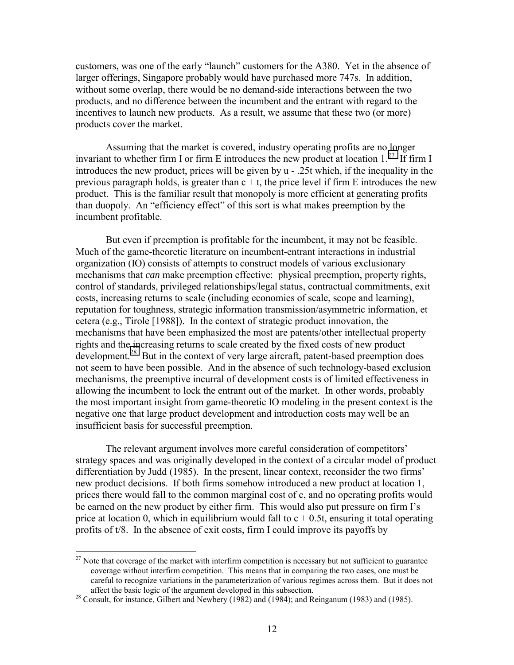customers, was one of the early "launch" customers for the A380. Yet in the absence of larger offerings, Singapore probably would have purchased more 747s. In addition, without some overlap, there would be no demand-side interactions between the two products, and no difference between the incumbent and the entrant with regard to the incentives to launch new products. As a result, we assume that these two (or more) products cover the market.

Assuming that the market is covered, industry operating profits are no longer invariant to whether firm I or firm E introduces the new product at location  $1.^{27}$  If firm I introduces the new product, prices will be given by u - .25t which, if the inequality in the previous paragraph holds, is greater than  $c + t$ , the price level if firm E introduces the new product. This is the familiar result that monopoly is more efficient at generating profits than duopoly. An "efficiency effect" of this sort is what makes preemption by the incumbent profitable.

But even if preemption is profitable for the incumbent, it may not be feasible. Much of the game-theoretic literature on incumbent-entrant interactions in industrial organization (IO) consists of attempts to construct models of various exclusionary mechanisms that *can* make preemption effective: physical preemption, property rights, control of standards, privileged relationships/legal status, contractual commitments, exit costs, increasing returns to scale (including economies of scale, scope and learning), reputation for toughness, strategic information transmission/asymmetric information, et cetera (e.g., Tirole [1988]). In the context of strategic product innovation, the mechanisms that have been emphasized the most are patents/other intellectual property rights and the increasing returns to scale created by the fixed costs of new product development.<sup>28</sup> But in the context of very large aircraft, patent-based preemption does not seem to have been possible. And in the absence of such technology-based exclusion mechanisms, the preemptive incurral of development costs is of limited effectiveness in allowing the incumbent to lock the entrant out of the market. In other words, probably the most important insight from game-theoretic IO modeling in the present context is the negative one that large product development and introduction costs may well be an insufficient basis for successful preemption.

The relevant argument involves more careful consideration of competitors' strategy spaces and was originally developed in the context of a circular model of product differentiation by Judd (1985). In the present, linear context, reconsider the two firms' new product decisions. If both firms somehow introduced a new product at location 1, prices there would fall to the common marginal cost of c, and no operating profits would be earned on the new product by either firm. This would also put pressure on firm I's price at location 0, which in equilibrium would fall to  $c + 0.5t$ , ensuring it total operating profits of t/8. In the absence of exit costs, firm I could improve its payoffs by

 $^{27}$  Note that coverage of the market with interfirm competition is necessary but not sufficient to guarantee coverage without interfirm competition. This means that in comparing the two cases, one must be careful to recognize variations in the parameterization of various regimes across them. But it does not affect the basic logic of the argument developed in this subsection. 28 Consult, for instance, Gilbert and Newbery (1982) and (1984); and Reinganum (1983) and (1985).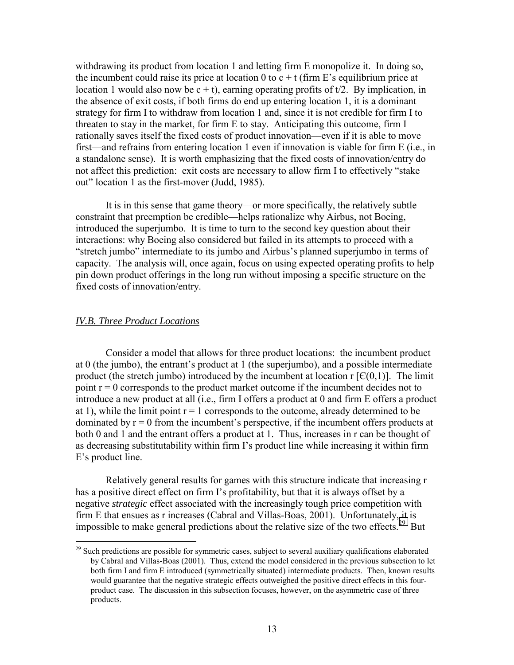withdrawing its product from location 1 and letting firm E monopolize it. In doing so, the incumbent could raise its price at location 0 to  $c + t$  (firm E's equilibrium price at location 1 would also now be  $c + t$ ), earning operating profits of t/2. By implication, in the absence of exit costs, if both firms do end up entering location 1, it is a dominant strategy for firm I to withdraw from location 1 and, since it is not credible for firm I to threaten to stay in the market, for firm E to stay. Anticipating this outcome, firm I rationally saves itself the fixed costs of product innovation—even if it is able to move first—and refrains from entering location 1 even if innovation is viable for firm E (i.e., in a standalone sense). It is worth emphasizing that the fixed costs of innovation/entry do not affect this prediction: exit costs are necessary to allow firm I to effectively "stake out" location 1 as the first-mover (Judd, 1985).

It is in this sense that game theory—or more specifically, the relatively subtle constraint that preemption be credible—helps rationalize why Airbus, not Boeing, introduced the superjumbo. It is time to turn to the second key question about their interactions: why Boeing also considered but failed in its attempts to proceed with a "stretch jumbo" intermediate to its jumbo and Airbus's planned superjumbo in terms of capacity. The analysis will, once again, focus on using expected operating profits to help pin down product offerings in the long run without imposing a specific structure on the fixed costs of innovation/entry.

#### *IV.B. Three Product Locations*

 $\overline{a}$ 

Consider a model that allows for three product locations: the incumbent product at 0 (the jumbo), the entrant's product at 1 (the superjumbo), and a possible intermediate product (the stretch jumbo) introduced by the incumbent at location  $r [E(0,1)]$ . The limit point  $r = 0$  corresponds to the product market outcome if the incumbent decides not to introduce a new product at all (i.e., firm I offers a product at 0 and firm E offers a product at 1), while the limit point  $r = 1$  corresponds to the outcome, already determined to be dominated by  $r = 0$  from the incumbent's perspective, if the incumbent offers products at both 0 and 1 and the entrant offers a product at 1. Thus, increases in r can be thought of as decreasing substitutability within firm I's product line while increasing it within firm E's product line.

Relatively general results for games with this structure indicate that increasing r has a positive direct effect on firm I's profitability, but that it is always offset by a negative *strategic* effect associated with the increasingly tough price competition with firm E that ensues as r increases (Cabral and Villas-Boas, 2001). Unfortunately, it is impossible to make general predictions about the relative size of the two effects.<sup>29</sup> But

<sup>&</sup>lt;sup>29</sup> Such predictions are possible for symmetric cases, subject to several auxiliary qualifications elaborated by Cabral and Villas-Boas (2001). Thus, extend the model considered in the previous subsection to let both firm I and firm E introduced (symmetrically situated) intermediate products. Then, known results would guarantee that the negative strategic effects outweighed the positive direct effects in this fourproduct case. The discussion in this subsection focuses, however, on the asymmetric case of three products.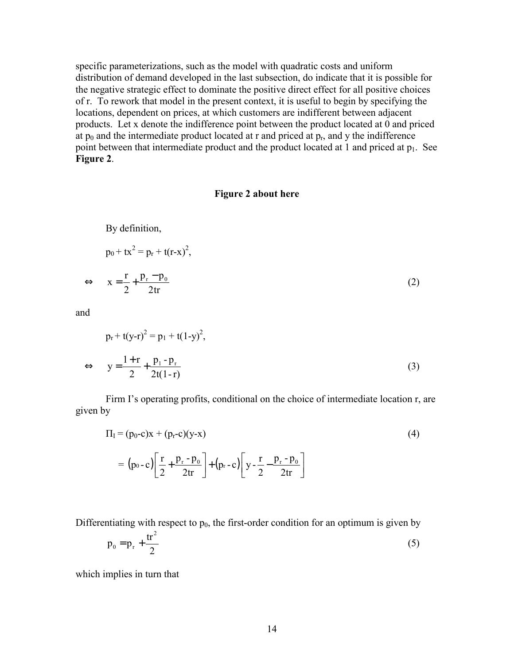specific parameterizations, such as the model with quadratic costs and uniform distribution of demand developed in the last subsection, do indicate that it is possible for the negative strategic effect to dominate the positive direct effect for all positive choices of r. To rework that model in the present context, it is useful to begin by specifying the locations, dependent on prices, at which customers are indifferent between adjacent products. Let x denote the indifference point between the product located at 0 and priced at  $p_0$  and the intermediate product located at r and priced at  $p_r$ , and y the indifference point between that intermediate product and the product located at 1 and priced at  $p_1$ . See **Figure 2**.

#### **Figure 2 about here**

By definition,

$$
p_0 + tx^2 = p_r + t(r-x)^2,
$$
  
\n
$$
\Leftrightarrow x = \frac{r}{2} + \frac{p_r - p_0}{2tr}
$$
 (2)

and

$$
p_r + t(y-r)^2 = p_1 + t(1-y)^2,
$$
  
\n
$$
\Leftrightarrow y = \frac{1+r}{2} + \frac{p_1 - p_r}{2t(1-r)}
$$
\n(3)

Firm I's operating profits, conditional on the choice of intermediate location r, are given by

$$
\Pi_{I} = (p_{0} - c)x + (p_{r} - c)(y - x)
$$
\n
$$
= (p_{0} - c)\left[\frac{r}{2} + \frac{p_{r} - p_{0}}{2tr}\right] + (p_{r} - c)\left[y - \frac{r}{2} - \frac{p_{r} - p_{0}}{2tr}\right]
$$
\n(4)

Differentiating with respect to  $p_0$ , the first-order condition for an optimum is given by 2  $p_0 = p_r + \frac{tr}{4}$ 2  $_{0} = p_{r} + \frac{\pi}{2}$  (5)

which implies in turn that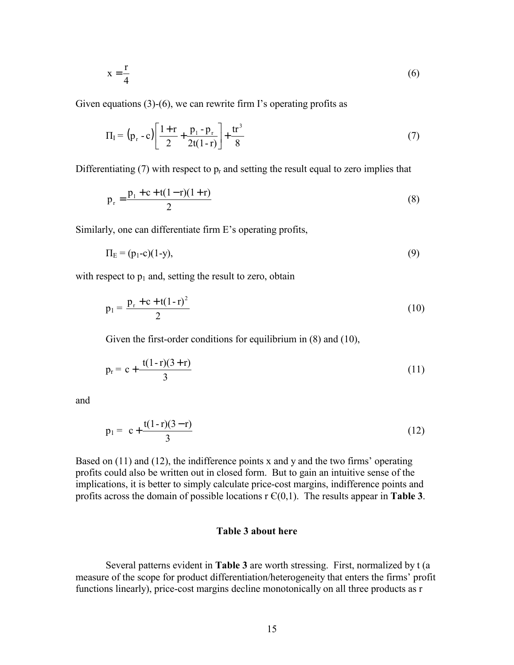$$
x = \frac{r}{4} \tag{6}
$$

Given equations (3)-(6), we can rewrite firm I's operating profits as

$$
\Pi_{I} = (p_{r} - c) \left[ \frac{1+r}{2} + \frac{p_{1} - p_{r}}{2t(1-r)} \right] + \frac{tr^{3}}{8}
$$
\n(7)

Differentiating (7) with respect to  $p_r$  and setting the result equal to zero implies that

$$
p_r = \frac{p_1 + c + t(1 - r)(1 + r)}{2} \tag{8}
$$

Similarly, one can differentiate firm E's operating profits,

$$
\Pi_{\mathcal{E}} = (p_1 - c)(1 - y),\tag{9}
$$

with respect to  $p_1$  and, setting the result to zero, obtain

$$
p_1 = \frac{p_r + c + t(1 - r)^2}{2} \tag{10}
$$

Given the first-order conditions for equilibrium in (8) and (10),

$$
p_r = c + \frac{t(1-r)(3+r)}{3}
$$
 (11)

and

$$
p_1 = c + \frac{t(1-r)(3-r)}{3}
$$
 (12)

Based on (11) and (12), the indifference points x and y and the two firms' operating profits could also be written out in closed form. But to gain an intuitive sense of the implications, it is better to simply calculate price-cost margins, indifference points and profits across the domain of possible locations  $r \in (0,1)$ . The results appear in **Table 3**.

#### **Table 3 about here**

Several patterns evident in **Table 3** are worth stressing. First, normalized by t (a measure of the scope for product differentiation/heterogeneity that enters the firms' profit functions linearly), price-cost margins decline monotonically on all three products as r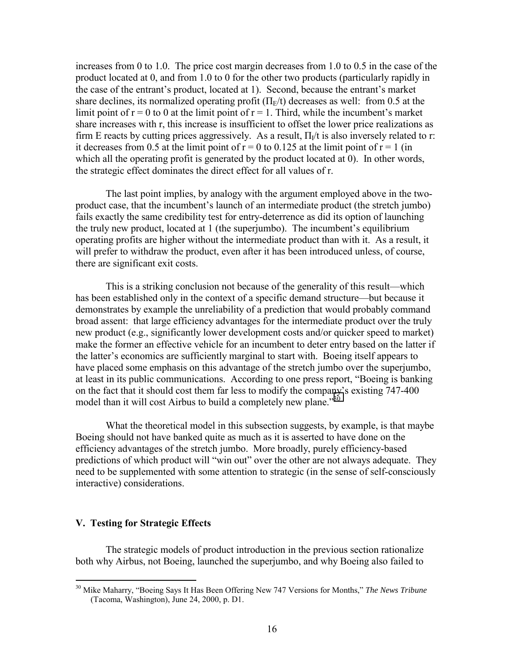increases from 0 to 1.0. The price cost margin decreases from 1.0 to 0.5 in the case of the product located at 0, and from 1.0 to 0 for the other two products (particularly rapidly in the case of the entrant's product, located at 1). Second, because the entrant's market share declines, its normalized operating profit  $(\Pi_F/t)$  decreases as well: from 0.5 at the limit point of  $r = 0$  to 0 at the limit point of  $r = 1$ . Third, while the incumbent's market share increases with r, this increase is insufficient to offset the lower price realizations as firm E reacts by cutting prices aggressively. As a result,  $\Pi_{l}/t$  is also inversely related to r: it decreases from 0.5 at the limit point of  $r = 0$  to 0.125 at the limit point of  $r = 1$  (in which all the operating profit is generated by the product located at 0). In other words, the strategic effect dominates the direct effect for all values of r.

The last point implies, by analogy with the argument employed above in the twoproduct case, that the incumbent's launch of an intermediate product (the stretch jumbo) fails exactly the same credibility test for entry-deterrence as did its option of launching the truly new product, located at 1 (the superjumbo). The incumbent's equilibrium operating profits are higher without the intermediate product than with it. As a result, it will prefer to withdraw the product, even after it has been introduced unless, of course, there are significant exit costs.

This is a striking conclusion not because of the generality of this result—which has been established only in the context of a specific demand structure—but because it demonstrates by example the unreliability of a prediction that would probably command broad assent: that large efficiency advantages for the intermediate product over the truly new product (e.g., significantly lower development costs and/or quicker speed to market) make the former an effective vehicle for an incumbent to deter entry based on the latter if the latter's economics are sufficiently marginal to start with. Boeing itself appears to have placed some emphasis on this advantage of the stretch jumbo over the superjumbo, at least in its public communications. According to one press report, "Boeing is banking on the fact that it should cost them far less to modify the company's existing 747-400 model than it will cost Airbus to build a completely new plane."<sup>30</sup>

What the theoretical model in this subsection suggests, by example, is that maybe Boeing should not have banked quite as much as it is asserted to have done on the efficiency advantages of the stretch jumbo. More broadly, purely efficiency-based predictions of which product will "win out" over the other are not always adequate. They need to be supplemented with some attention to strategic (in the sense of self-consciously interactive) considerations.

#### **V. Testing for Strategic Effects**

 $\overline{a}$ 

The strategic models of product introduction in the previous section rationalize both why Airbus, not Boeing, launched the superjumbo, and why Boeing also failed to

<sup>&</sup>lt;sup>30</sup> Mike Maharry, "Boeing Says It Has Been Offering New 747 Versions for Months," *The News Tribune* (Tacoma, Washington), June 24, 2000, p. D1.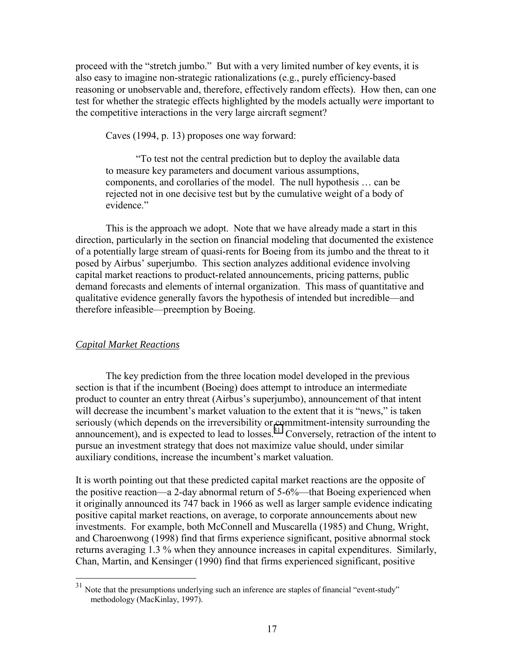proceed with the "stretch jumbo." But with a very limited number of key events, it is also easy to imagine non-strategic rationalizations (e.g., purely efficiency-based reasoning or unobservable and, therefore, effectively random effects). How then, can one test for whether the strategic effects highlighted by the models actually *were* important to the competitive interactions in the very large aircraft segment?

Caves (1994, p. 13) proposes one way forward:

"To test not the central prediction but to deploy the available data to measure key parameters and document various assumptions, components, and corollaries of the model. The null hypothesis … can be rejected not in one decisive test but by the cumulative weight of a body of evidence."

This is the approach we adopt. Note that we have already made a start in this direction, particularly in the section on financial modeling that documented the existence of a potentially large stream of quasi-rents for Boeing from its jumbo and the threat to it posed by Airbus' superjumbo. This section analyzes additional evidence involving capital market reactions to product-related announcements, pricing patterns, public demand forecasts and elements of internal organization. This mass of quantitative and qualitative evidence generally favors the hypothesis of intended but incredible—and therefore infeasible—preemption by Boeing.

#### *Capital Market Reactions*

 $\overline{a}$ 

The key prediction from the three location model developed in the previous section is that if the incumbent (Boeing) does attempt to introduce an intermediate product to counter an entry threat (Airbus's superjumbo), announcement of that intent will decrease the incumbent's market valuation to the extent that it is "news," is taken seriously (which depends on the irreversibility or commitment-intensity surrounding the announcement), and is expected to lead to losses. $31$  Conversely, retraction of the intent to pursue an investment strategy that does not maximize value should, under similar auxiliary conditions, increase the incumbent's market valuation.

It is worth pointing out that these predicted capital market reactions are the opposite of the positive reaction—a 2-day abnormal return of 5-6%—that Boeing experienced when it originally announced its 747 back in 1966 as well as larger sample evidence indicating positive capital market reactions, on average, to corporate announcements about new investments. For example, both McConnell and Muscarella (1985) and Chung, Wright, and Charoenwong (1998) find that firms experience significant, positive abnormal stock returns averaging 1.3 % when they announce increases in capital expenditures. Similarly, Chan, Martin, and Kensinger (1990) find that firms experienced significant, positive

 $31$  Note that the presumptions underlying such an inference are staples of financial "event-study" methodology (MacKinlay, 1997).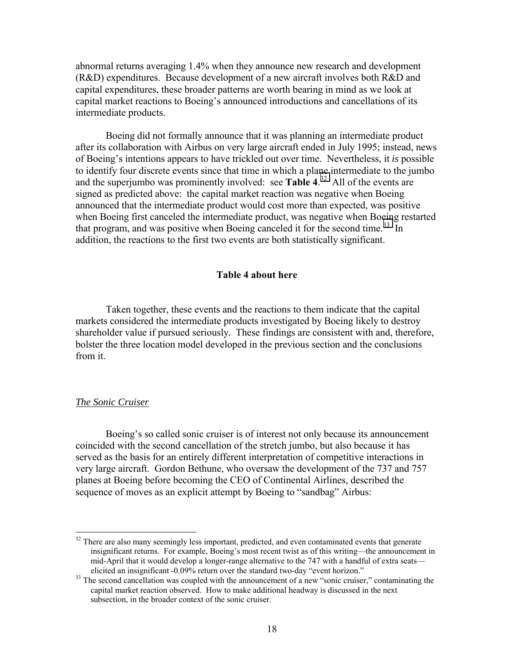abnormal returns averaging 1.4% when they announce new research and development (R&D) expenditures. Because development of a new aircraft involves both R&D and capital expenditures, these broader patterns are worth bearing in mind as we look at capital market reactions to Boeing's announced introductions and cancellations of its intermediate products.

Boeing did not formally announce that it was planning an intermediate product after its collaboration with Airbus on very large aircraft ended in July 1995; instead, news of Boeing's intentions appears to have trickled out over time. Nevertheless, it *is* possible to identify four discrete events since that time in which a plane intermediate to the jumbo and the superjumbo was prominently involved: see **Table 4**. 32 All of the events are signed as predicted above: the capital market reaction was negative when Boeing announced that the intermediate product would cost more than expected, was positive when Boeing first canceled the intermediate product, was negative when Boeing restarted that program, and was positive when Boeing canceled it for the second time.<sup>33</sup> In addition, the reactions to the first two events are both statistically significant.

#### **Table 4 about here**

Taken together, these events and the reactions to them indicate that the capital markets considered the intermediate products investigated by Boeing likely to destroy shareholder value if pursued seriously. These findings are consistent with and, therefore, bolster the three location model developed in the previous section and the conclusions from it.

#### *The Sonic Cruiser*

 $\overline{a}$ 

Boeing's so called sonic cruiser is of interest not only because its announcement coincided with the second cancellation of the stretch jumbo, but also because it has served as the basis for an entirely different interpretation of competitive interactions in very large aircraft. Gordon Bethune, who oversaw the development of the 737 and 757 planes at Boeing before becoming the CEO of Continental Airlines, described the sequence of moves as an explicit attempt by Boeing to "sandbag" Airbus:

 $32$  There are also many seemingly less important, predicted, and even contaminated events that generate insignificant returns. For example, Boeing's most recent twist as of this writing—the announcement in mid-April that it would develop a longer-range alternative to the 747 with a handful of extra seats elicited an insignificant -0.09% return over the standard two-day "event horizon."<br><sup>33</sup> The second cancellation was coupled with the announcement of a new "sonic cruiser," contaminating the

capital market reaction observed. How to make additional headway is discussed in the next subsection, in the broader context of the sonic cruiser.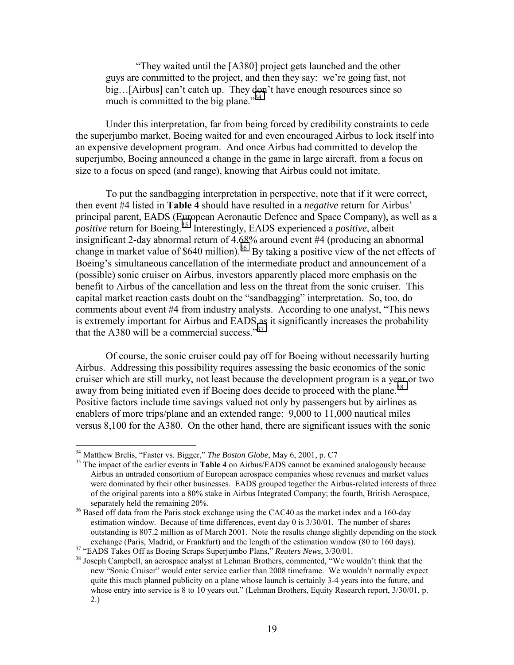"They waited until the [A380] project gets launched and the other guys are committed to the project, and then they say: we're going fast, not big...[Airbus] can't catch up. They don't have enough resources since so much is committed to the big plane."<sup>34</sup>

Under this interpretation, far from being forced by credibility constraints to cede the superjumbo market, Boeing waited for and even encouraged Airbus to lock itself into an expensive development program. And once Airbus had committed to develop the superjumbo, Boeing announced a change in the game in large aircraft, from a focus on size to a focus on speed (and range), knowing that Airbus could not imitate.

To put the sandbagging interpretation in perspective, note that if it were correct, then event #4 listed in **Table 4** should have resulted in a *negative* return for Airbus' principal parent, EADS (European Aeronautic Defence and Space Company), as well as a *positive* return for Boeing.<sup>35</sup> Interestingly, EADS experienced a *positive*, albeit insignificant 2-day abnormal return of 4.68% around event #4 (producing an abnormal change in market value of \$640 million).<sup>36</sup> By taking a positive view of the net effects of Boeing's simultaneous cancellation of the intermediate product and announcement of a (possible) sonic cruiser on Airbus, investors apparently placed more emphasis on the benefit to Airbus of the cancellation and less on the threat from the sonic cruiser. This capital market reaction casts doubt on the "sandbagging" interpretation. So, too, do comments about event #4 from industry analysts. According to one analyst, "This news is extremely important for Airbus and EADS as it significantly increases the probability that the A380 will be a commercial success."<sup>37</sup>

Of course, the sonic cruiser could pay off for Boeing without necessarily hurting Airbus. Addressing this possibility requires assessing the basic economics of the sonic cruiser which are still murky, not least because the development program is a year or two away from being initiated even if Boeing does decide to proceed with the plane.<sup>38</sup> Positive factors include time savings valued not only by passengers but by airlines as enablers of more trips/plane and an extended range: 9,000 to 11,000 nautical miles versus 8,100 for the A380. On the other hand, there are significant issues with the sonic

<sup>&</sup>lt;sup>34</sup> Matthew Brelis. "Faster vs. Bigger," The Boston Globe, May 6, 2001, p. C7

<sup>&</sup>lt;sup>35</sup> The impact of the earlier events in **Table 4** on Airbus/EADS cannot be examined analogously because Airbus an untraded consortium of European aerospace companies whose revenues and market values were dominated by their other businesses. EADS grouped together the Airbus-related interests of three of the original parents into a 80% stake in Airbus Integrated Company; the fourth, British Aerospace, separately held the remaining 20%.<br><sup>36</sup> Based off data from the Paris stock exchange using the CAC40 as the market index and a 160-day

estimation window. Because of time differences, event day 0 is 3/30/01. The number of shares outstanding is 807.2 million as of March 2001. Note the results change slightly depending on the stock exchange (Paris, Madrid, or Frankfurt) and the length of the estimation window (80 to 160 days).<br><sup>37</sup> "EADS Takes Off as Boeing Scraps Superjumbo Plans," *Reuters News*, 3/30/01.<br><sup>38</sup> Joseph Campbell, an aerospace analyst

new "Sonic Cruiser" would enter service earlier than 2008 timeframe. We wouldn't normally expect quite this much planned publicity on a plane whose launch is certainly 3-4 years into the future, and whose entry into service is 8 to 10 years out." (Lehman Brothers, Equity Research report,  $3/30/01$ , p. 2.)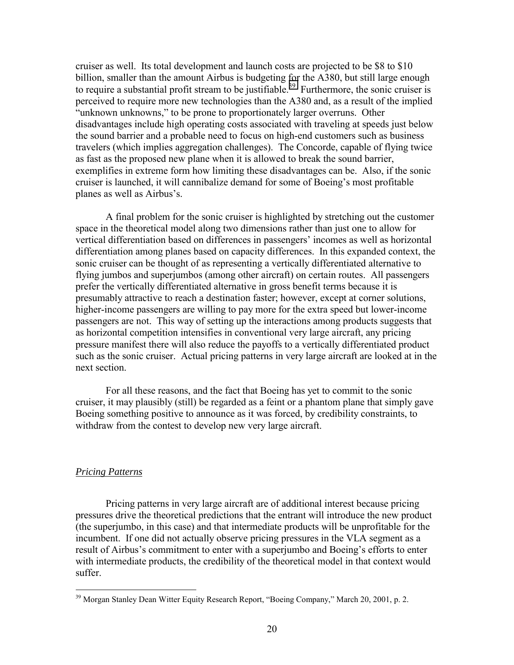cruiser as well. Its total development and launch costs are projected to be \$8 to \$10 billion, smaller than the amount Airbus is budgeting for the A380, but still large enough to require a substantial profit stream to be justifiable.<sup>39</sup> Furthermore, the sonic cruiser is perceived to require more new technologies than the A380 and, as a result of the implied "unknown unknowns," to be prone to proportionately larger overruns. Other disadvantages include high operating costs associated with traveling at speeds just below the sound barrier and a probable need to focus on high-end customers such as business travelers (which implies aggregation challenges). The Concorde, capable of flying twice as fast as the proposed new plane when it is allowed to break the sound barrier, exemplifies in extreme form how limiting these disadvantages can be. Also, if the sonic cruiser is launched, it will cannibalize demand for some of Boeing's most profitable planes as well as Airbus's.

A final problem for the sonic cruiser is highlighted by stretching out the customer space in the theoretical model along two dimensions rather than just one to allow for vertical differentiation based on differences in passengers' incomes as well as horizontal differentiation among planes based on capacity differences. In this expanded context, the sonic cruiser can be thought of as representing a vertically differentiated alternative to flying jumbos and superjumbos (among other aircraft) on certain routes. All passengers prefer the vertically differentiated alternative in gross benefit terms because it is presumably attractive to reach a destination faster; however, except at corner solutions, higher-income passengers are willing to pay more for the extra speed but lower-income passengers are not. This way of setting up the interactions among products suggests that as horizontal competition intensifies in conventional very large aircraft, any pricing pressure manifest there will also reduce the payoffs to a vertically differentiated product such as the sonic cruiser. Actual pricing patterns in very large aircraft are looked at in the next section.

For all these reasons, and the fact that Boeing has yet to commit to the sonic cruiser, it may plausibly (still) be regarded as a feint or a phantom plane that simply gave Boeing something positive to announce as it was forced, by credibility constraints, to withdraw from the contest to develop new very large aircraft.

#### *Pricing Patterns*

 $\overline{a}$ 

Pricing patterns in very large aircraft are of additional interest because pricing pressures drive the theoretical predictions that the entrant will introduce the new product (the superjumbo, in this case) and that intermediate products will be unprofitable for the incumbent. If one did not actually observe pricing pressures in the VLA segment as a result of Airbus's commitment to enter with a superjumbo and Boeing's efforts to enter with intermediate products, the credibility of the theoretical model in that context would suffer.

<sup>&</sup>lt;sup>39</sup> Morgan Stanley Dean Witter Equity Research Report, "Boeing Company," March 20, 2001, p. 2.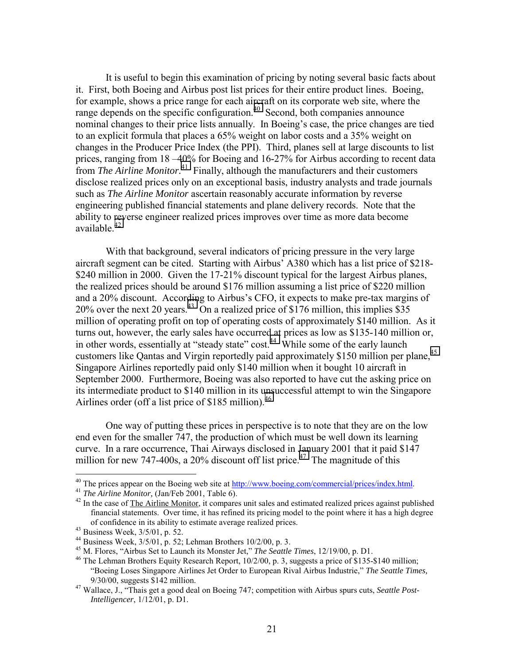It is useful to begin this examination of pricing by noting several basic facts about it. First, both Boeing and Airbus post list prices for their entire product lines. Boeing, for example, shows a price range for each aircraft on its corporate web site, where the range depends on the specific configuration.<sup>40</sup> Second, both companies announce nominal changes to their price lists annually. In Boeing's case, the price changes are tied to an explicit formula that places a 65% weight on labor costs and a 35% weight on changes in the Producer Price Index (the PPI). Third, planes sell at large discounts to list prices, ranging from 18 –40% for Boeing and 16-27% for Airbus according to recent data from *The Airline Monitor.*41 Finally, although the manufacturers and their customers disclose realized prices only on an exceptional basis, industry analysts and trade journals such as *The Airline Monitor* ascertain reasonably accurate information by reverse engineering published financial statements and plane delivery records. Note that the ability to reverse engineer realized prices improves over time as more data become available $42$ 

With that background, several indicators of pricing pressure in the very large aircraft segment can be cited. Starting with Airbus' A380 which has a list price of \$218- \$240 million in 2000. Given the 17-21% discount typical for the largest Airbus planes, the realized prices should be around \$176 million assuming a list price of \$220 million and a 20% discount. According to Airbus's CFO, it expects to make pre-tax margins of  $20\%$  over the next 20 years.<sup>43</sup> On a realized price of \$176 million, this implies \$35 million of operating profit on top of operating costs of approximately \$140 million. As it turns out, however, the early sales have occurred at prices as low as \$135-140 million or, in other words, essentially at "steady state" cost.<sup>44</sup> While some of the early launch customers like Qantas and Virgin reportedly paid approximately \$150 million per plane,<sup>45</sup> Singapore Airlines reportedly paid only \$140 million when it bought 10 aircraft in September 2000. Furthermore, Boeing was also reported to have cut the asking price on its intermediate product to \$140 million in its unsuccessful attempt to win the Singapore Airlines order (off a list price of \$185 million). $46$ 

One way of putting these prices in perspective is to note that they are on the low end even for the smaller 747, the production of which must be well down its learning curve. In a rare occurrence, Thai Airways disclosed in January 2001 that it paid \$147 million for new 747-400s, a 20% discount off list price.<sup>47</sup> The magnitude of this

<sup>&</sup>lt;sup>40</sup> The prices appear on the Boeing web site at http://www.boeing.com/commercial/prices/index.html.

<sup>&</sup>lt;sup>41</sup> The Airline Monitor, (Jan/Feb 2001, Table 6).<br><sup>42</sup> In the case of The Airline Monitor, it compares unit sales and estimated realized prices against published financial statements. Over time, it has refined its pricing model to the point where it has a high degree of confidence in its ability to estimate average realized prices. 43 Business Week, 3/5/01, p. 52.

<sup>&</sup>lt;sup>44</sup> Business Week,  $3/5/01$ , p. 52; Lehman Brothers 10/2/00, p. 3.<br><sup>45</sup> M. Flores, "Airbus Set to Launch its Monster Jet," *The Seattle Times*, 12/19/00, p. D1.

<sup>&</sup>lt;sup>46</sup> The Lehman Brothers Equity Research Report, 10/2/00, p. 3, suggests a price of \$135-\$140 million; "Boeing Loses Singapore Airlines Jet Order to European Rival Airbus Industrie," *The Seattle Times,* 9/30/00, suggests \$142 million. 47 Wallace, J., "Thais get a good deal on Boeing 747; competition with Airbus spurs cuts, *Seattle Post-*

*Intelligencer*, 1/12/01, p. D1.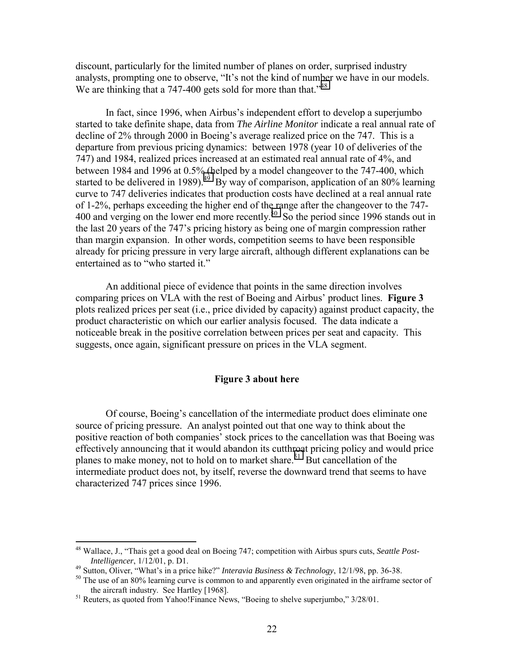discount, particularly for the limited number of planes on order, surprised industry analysts, prompting one to observe, "It's not the kind of number we have in our models. We are thinking that a 747-400 gets sold for more than that."<sup>48</sup>

In fact, since 1996, when Airbus's independent effort to develop a superjumbo started to take definite shape, data from *The Airline Monitor* indicate a real annual rate of decline of 2% through 2000 in Boeing's average realized price on the 747. This is a departure from previous pricing dynamics: between 1978 (year 10 of deliveries of the 747) and 1984, realized prices increased at an estimated real annual rate of 4%, and between 1984 and 1996 at 0.5% (helped by a model changeover to the 747-400, which started to be delivered in 1989).<sup>49</sup> By way of comparison, application of an 80% learning curve to 747 deliveries indicates that production costs have declined at a real annual rate of 1-2%, perhaps exceeding the higher end of the range after the changeover to the 747- 400 and verging on the lower end more recently.<sup>50</sup> So the period since 1996 stands out in the last 20 years of the 747's pricing history as being one of margin compression rather than margin expansion. In other words, competition seems to have been responsible already for pricing pressure in very large aircraft, although different explanations can be entertained as to "who started it."

An additional piece of evidence that points in the same direction involves comparing prices on VLA with the rest of Boeing and Airbus' product lines. **Figure 3** plots realized prices per seat (i.e., price divided by capacity) against product capacity, the product characteristic on which our earlier analysis focused. The data indicate a noticeable break in the positive correlation between prices per seat and capacity. This suggests, once again, significant pressure on prices in the VLA segment.

#### **Figure 3 about here**

Of course, Boeing's cancellation of the intermediate product does eliminate one source of pricing pressure. An analyst pointed out that one way to think about the positive reaction of both companies' stock prices to the cancellation was that Boeing was effectively announcing that it would abandon its cutthroat pricing policy and would price planes to make money, not to hold on to market share.<sup>51</sup> But cancellation of the intermediate product does not, by itself, reverse the downward trend that seems to have characterized 747 prices since 1996.

<sup>48</sup> Wallace, J., "Thais get a good deal on Boeing 747; competition with Airbus spurs cuts, *Seattle Post-Intelligencer*,  $1/12/01$ , p. D1.<br><sup>49</sup> Sutton, Oliver, "What's in a price hike?" *Interavia Business & Technology*,  $12/1/98$ , pp. 36-38.<br><sup>50</sup> The use of an 80% learning curve is common to and apparently even originated

the aircraft industry. See Hartley [1968].<br><sup>51</sup> Reuters, as quoted from Yahoo!Finance News, "Boeing to shelve superjumbo," 3/28/01.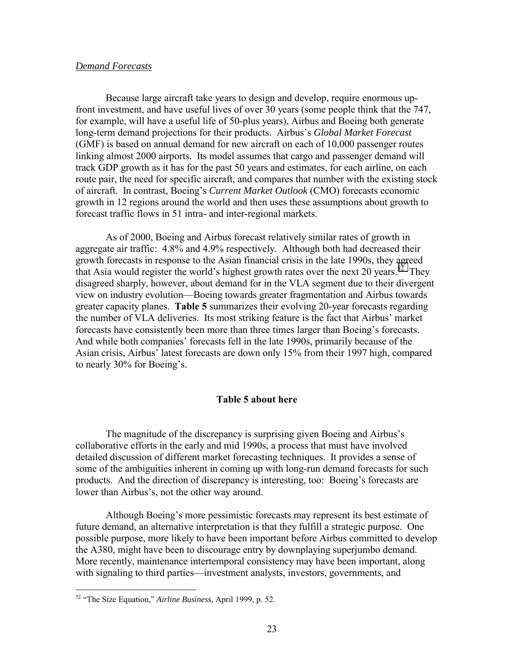#### *Demand Forecasts*

Because large aircraft take years to design and develop, require enormous upfront investment, and have useful lives of over 30 years (some people think that the 747, for example, will have a useful life of 50-plus years), Airbus and Boeing both generate long-term demand projections for their products. Airbus's *Global Market Forecast* (GMF) is based on annual demand for new aircraft on each of 10,000 passenger routes linking almost 2000 airports. Its model assumes that cargo and passenger demand will track GDP growth as it has for the past 50 years and estimates, for each airline, on each route pair, the need for specific aircraft, and compares that number with the existing stock of aircraft. In contrast, Boeing's *Current Market Outlook* (CMO) forecasts economic growth in 12 regions around the world and then uses these assumptions about growth to forecast traffic flows in 51 intra- and inter-regional markets.

As of 2000, Boeing and Airbus forecast relatively similar rates of growth in aggregate air traffic: 4.8% and 4.9% respectively. Although both had decreased their growth forecasts in response to the Asian financial crisis in the late 1990s, they agreed that Asia would register the world's highest growth rates over the next 20 years.<sup>52</sup> They disagreed sharply, however, about demand for in the VLA segment due to their divergent view on industry evolution—Boeing towards greater fragmentation and Airbus towards greater capacity planes. **Table 5** summarizes their evolving 20-year forecasts regarding the number of VLA deliveries. Its most striking feature is the fact that Airbus' market forecasts have consistently been more than three times larger than Boeing's forecasts. And while both companies' forecasts fell in the late 1990s, primarily because of the Asian crisis, Airbus' latest forecasts are down only 15% from their 1997 high, compared to nearly 30% for Boeing's.

#### **Table 5 about here**

The magnitude of the discrepancy is surprising given Boeing and Airbus's collaborative efforts in the early and mid 1990s, a process that must have involved detailed discussion of different market forecasting techniques. It provides a sense of some of the ambiguities inherent in coming up with long-run demand forecasts for such products. And the direction of discrepancy is interesting, too: Boeing's forecasts are lower than Airbus's, not the other way around.

Although Boeing's more pessimistic forecasts may represent its best estimate of future demand, an alternative interpretation is that they fulfill a strategic purpose. One possible purpose, more likely to have been important before Airbus committed to develop the A380, might have been to discourage entry by downplaying superjumbo demand. More recently, maintenance intertemporal consistency may have been important, along with signaling to third parties—investment analysts, investors, governments, and

<sup>52 &</sup>quot;The Size Equation," *Airline Business,* April 1999, p. 52.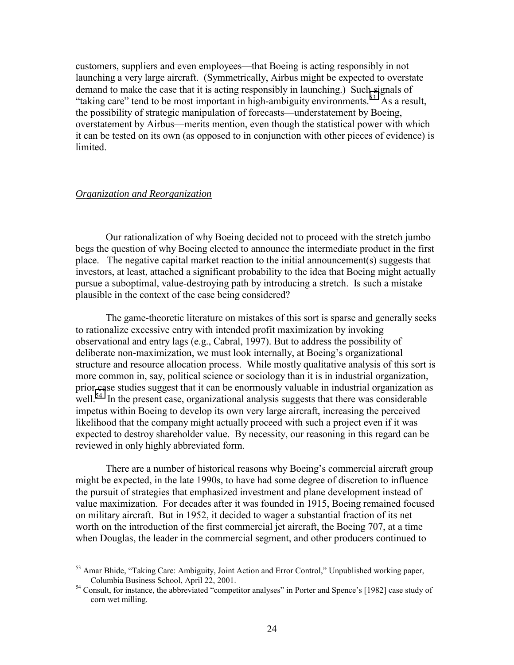customers, suppliers and even employees—that Boeing is acting responsibly in not launching a very large aircraft. (Symmetrically, Airbus might be expected to overstate demand to make the case that it is acting responsibly in launching.) Such signals of "taking care" tend to be most important in high-ambiguity environments.<sup>53</sup> As a result, the possibility of strategic manipulation of forecasts—understatement by Boeing, overstatement by Airbus—merits mention, even though the statistical power with which it can be tested on its own (as opposed to in conjunction with other pieces of evidence) is **limited** 

#### *Organization and Reorganization*

 $\overline{a}$ 

Our rationalization of why Boeing decided not to proceed with the stretch jumbo begs the question of why Boeing elected to announce the intermediate product in the first place. The negative capital market reaction to the initial announcement(s) suggests that investors, at least, attached a significant probability to the idea that Boeing might actually pursue a suboptimal, value-destroying path by introducing a stretch. Is such a mistake plausible in the context of the case being considered?

The game-theoretic literature on mistakes of this sort is sparse and generally seeks to rationalize excessive entry with intended profit maximization by invoking observational and entry lags (e.g., Cabral, 1997). But to address the possibility of deliberate non-maximization, we must look internally, at Boeing's organizational structure and resource allocation process. While mostly qualitative analysis of this sort is more common in, say, political science or sociology than it is in industrial organization, prior case studies suggest that it can be enormously valuable in industrial organization as well.<sup>54</sup> In the present case, organizational analysis suggests that there was considerable impetus within Boeing to develop its own very large aircraft, increasing the perceived likelihood that the company might actually proceed with such a project even if it was expected to destroy shareholder value. By necessity, our reasoning in this regard can be reviewed in only highly abbreviated form.

There are a number of historical reasons why Boeing's commercial aircraft group might be expected, in the late 1990s, to have had some degree of discretion to influence the pursuit of strategies that emphasized investment and plane development instead of value maximization. For decades after it was founded in 1915, Boeing remained focused on military aircraft. But in 1952, it decided to wager a substantial fraction of its net worth on the introduction of the first commercial jet aircraft, the Boeing 707, at a time when Douglas, the leader in the commercial segment, and other producers continued to

<sup>&</sup>lt;sup>53</sup> Amar Bhide, "Taking Care: Ambiguity, Joint Action and Error Control," Unpublished working paper, Columbia Business School, April 22, 2001.

 $54$  Consult, for instance, the abbreviated "competitor analyses" in Porter and Spence's [1982] case study of corn wet milling.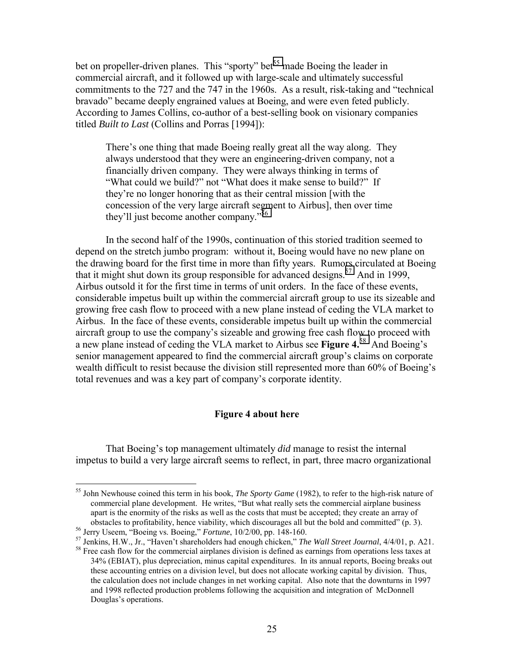bet on propeller-driven planes. This "sporty" bet<sup>55</sup> made Boeing the leader in commercial aircraft, and it followed up with large-scale and ultimately successful commitments to the 727 and the 747 in the 1960s. As a result, risk-taking and "technical bravado" became deeply engrained values at Boeing, and were even feted publicly. According to James Collins, co-author of a best-selling book on visionary companies titled *Built to Last* (Collins and Porras [1994]):

There's one thing that made Boeing really great all the way along. They always understood that they were an engineering-driven company, not a financially driven company. They were always thinking in terms of "What could we build?" not "What does it make sense to build?" If they're no longer honoring that as their central mission [with the concession of the very large aircraft segment to Airbus], then over time they'll just become another company."56

In the second half of the 1990s, continuation of this storied tradition seemed to depend on the stretch jumbo program: without it, Boeing would have no new plane on the drawing board for the first time in more than fifty years. Rumors circulated at Boeing that it might shut down its group responsible for advanced designs.<sup>57</sup> And in 1999, Airbus outsold it for the first time in terms of unit orders. In the face of these events, considerable impetus built up within the commercial aircraft group to use its sizeable and growing free cash flow to proceed with a new plane instead of ceding the VLA market to Airbus. In the face of these events, considerable impetus built up within the commercial aircraft group to use the company's sizeable and growing free cash flow to proceed with a new plane instead of ceding the VLA market to Airbus see **Figure 4.**58 And Boeing's senior management appeared to find the commercial aircraft group's claims on corporate wealth difficult to resist because the division still represented more than 60% of Boeing's total revenues and was a key part of company's corporate identity.

#### **Figure 4 about here**

That Boeing's top management ultimately *did* manage to resist the internal impetus to build a very large aircraft seems to reflect, in part, three macro organizational

<sup>55</sup> John Newhouse coined this term in his book, *The Sporty Game* (1982), to refer to the high-risk nature of commercial plane development. He writes, "But what really sets the commercial airplane business apart is the enormity of the risks as well as the costs that must be accepted; they create an array of obstacles to profitability, hence viability, which discourages all but the bold and committed" (p. 3).

<sup>&</sup>lt;sup>56</sup> Jerry Useem, "Boeing vs. Boeing," *Fortune*, 10/2/00, pp. 148-160.<br><sup>57</sup> Jenkins, H.W., Jr., "Haven't shareholders had enough chicken," *The Wall Street Journal*, 4/4/01, p. A21.<br><sup>58</sup> Free cash flow for the commercial 34% (EBIAT), plus depreciation, minus capital expenditures. In its annual reports, Boeing breaks out these accounting entries on a division level, but does not allocate working capital by division. Thus, the calculation does not include changes in net working capital. Also note that the downturns in 1997 and 1998 reflected production problems following the acquisition and integration of McDonnell Douglas's operations.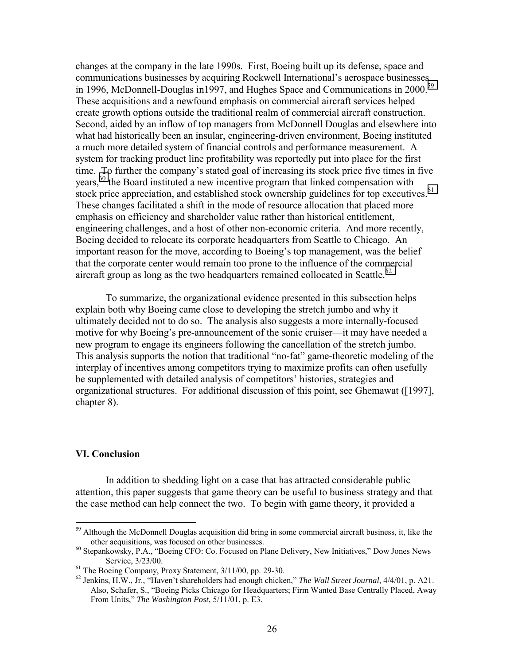changes at the company in the late 1990s. First, Boeing built up its defense, space and communications businesses by acquiring Rockwell International's aerospace businesses in 1996, McDonnell-Douglas in1997, and Hughes Space and Communications in 2000.<sup>59</sup> These acquisitions and a newfound emphasis on commercial aircraft services helped create growth options outside the traditional realm of commercial aircraft construction. Second, aided by an inflow of top managers from McDonnell Douglas and elsewhere into what had historically been an insular, engineering-driven environment, Boeing instituted a much more detailed system of financial controls and performance measurement. A system for tracking product line profitability was reportedly put into place for the first time. To further the company's stated goal of increasing its stock price five times in five years,<sup>60</sup> the Board instituted a new incentive program that linked compensation with stock price appreciation, and established stock ownership guidelines for top executives.<sup>61</sup> These changes facilitated a shift in the mode of resource allocation that placed more emphasis on efficiency and shareholder value rather than historical entitlement, engineering challenges, and a host of other non-economic criteria. And more recently, Boeing decided to relocate its corporate headquarters from Seattle to Chicago. An important reason for the move, according to Boeing's top management, was the belief that the corporate center would remain too prone to the influence of the commercial aircraft group as long as the two headquarters remained collocated in Seattle.<sup>62</sup>

To summarize, the organizational evidence presented in this subsection helps explain both why Boeing came close to developing the stretch jumbo and why it ultimately decided not to do so. The analysis also suggests a more internally-focused motive for why Boeing's pre-announcement of the sonic cruiser—it may have needed a new program to engage its engineers following the cancellation of the stretch jumbo. This analysis supports the notion that traditional "no-fat" game-theoretic modeling of the interplay of incentives among competitors trying to maximize profits can often usefully be supplemented with detailed analysis of competitors' histories, strategies and organizational structures. For additional discussion of this point, see Ghemawat ([1997], chapter 8).

#### **VI. Conclusion**

 $\overline{a}$ 

In addition to shedding light on a case that has attracted considerable public attention, this paper suggests that game theory can be useful to business strategy and that the case method can help connect the two. To begin with game theory, it provided a

 $59$  Although the McDonnell Douglas acquisition did bring in some commercial aircraft business, it, like the other acquisitions, was focused on other businesses. 60 Stepankowsky, P.A., "Boeing CFO: Co. Focused on Plane Delivery, New Initiatives," Dow Jones News

Service, 3/23/00.<br><sup>61</sup> The Boeing Company, Proxy Statement, 3/11/00, pp. 29-30.

<sup>62</sup> Jenkins, H.W., Jr., "Haven't shareholders had enough chicken," *The Wall Street Journal*, 4/4/01, p. A21. Also, Schafer, S., "Boeing Picks Chicago for Headquarters; Firm Wanted Base Centrally Placed, Away From Units," *The Washington Post*, 5/11/01, p. E3.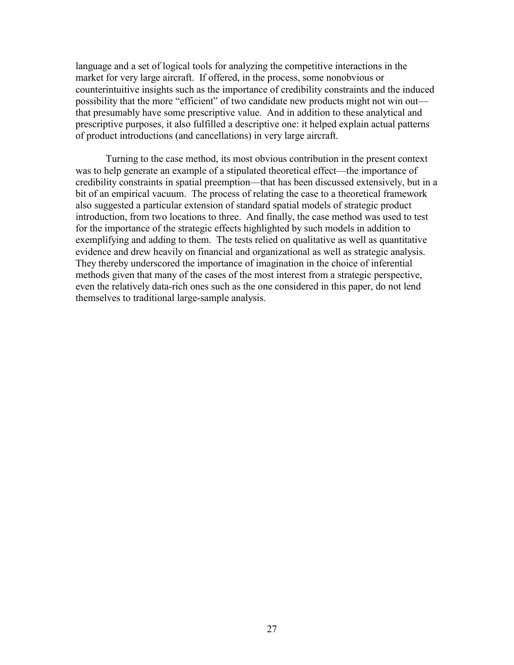language and a set of logical tools for analyzing the competitive interactions in the market for very large aircraft. If offered, in the process, some nonobvious or counterintuitive insights such as the importance of credibility constraints and the induced possibility that the more "efficient" of two candidate new products might not win out that presumably have some prescriptive value. And in addition to these analytical and prescriptive purposes, it also fulfilled a descriptive one: it helped explain actual patterns of product introductions (and cancellations) in very large aircraft.

Turning to the case method, its most obvious contribution in the present context was to help generate an example of a stipulated theoretical effect—the importance of credibility constraints in spatial preemption—that has been discussed extensively, but in a bit of an empirical vacuum. The process of relating the case to a theoretical framework also suggested a particular extension of standard spatial models of strategic product introduction, from two locations to three. And finally, the case method was used to test for the importance of the strategic effects highlighted by such models in addition to exemplifying and adding to them. The tests relied on qualitative as well as quantitative evidence and drew heavily on financial and organizational as well as strategic analysis. They thereby underscored the importance of imagination in the choice of inferential methods given that many of the cases of the most interest from a strategic perspective, even the relatively data-rich ones such as the one considered in this paper, do not lend themselves to traditional large-sample analysis.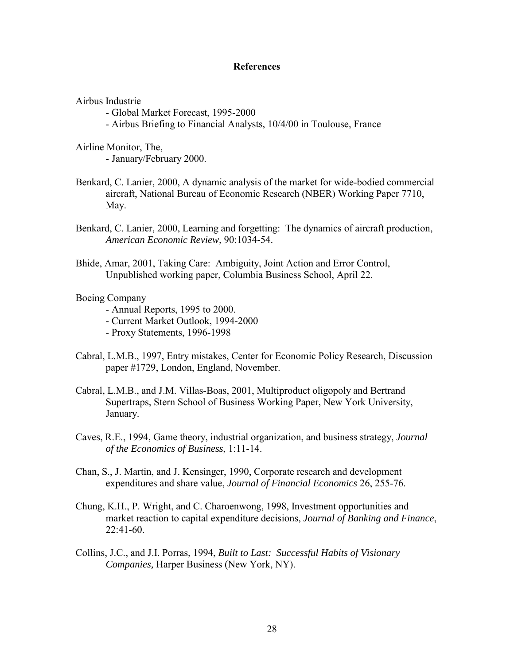#### **References**

Airbus Industrie

- Global Market Forecast, 1995-2000

- Airbus Briefing to Financial Analysts, 10/4/00 in Toulouse, France

Airline Monitor, The,

- January/February 2000.

- Benkard, C. Lanier, 2000, A dynamic analysis of the market for wide-bodied commercial aircraft, National Bureau of Economic Research (NBER) Working Paper 7710, May.
- Benkard, C. Lanier, 2000, Learning and forgetting: The dynamics of aircraft production, *American Economic Review*, 90:1034-54.
- Bhide, Amar, 2001, Taking Care: Ambiguity, Joint Action and Error Control, Unpublished working paper, Columbia Business School, April 22.

#### Boeing Company

- Annual Reports, 1995 to 2000.
- Current Market Outlook, 1994-2000
- Proxy Statements, 1996-1998
- Cabral, L.M.B., 1997, Entry mistakes, Center for Economic Policy Research, Discussion paper #1729, London, England, November.
- Cabral, L.M.B., and J.M. Villas-Boas, 2001, Multiproduct oligopoly and Bertrand Supertraps, Stern School of Business Working Paper, New York University, January.
- Caves, R.E., 1994, Game theory, industrial organization, and business strategy, *Journal of the Economics of Business*, 1:11-14.
- Chan, S., J. Martin, and J. Kensinger, 1990, Corporate research and development expenditures and share value, *Journal of Financial Economics* 26, 255-76.
- Chung, K.H., P. Wright, and C. Charoenwong, 1998, Investment opportunities and market reaction to capital expenditure decisions, *Journal of Banking and Finance*,  $22:41-60.$
- Collins, J.C., and J.I. Porras, 1994, *Built to Last: Successful Habits of Visionary Companies,* Harper Business (New York, NY).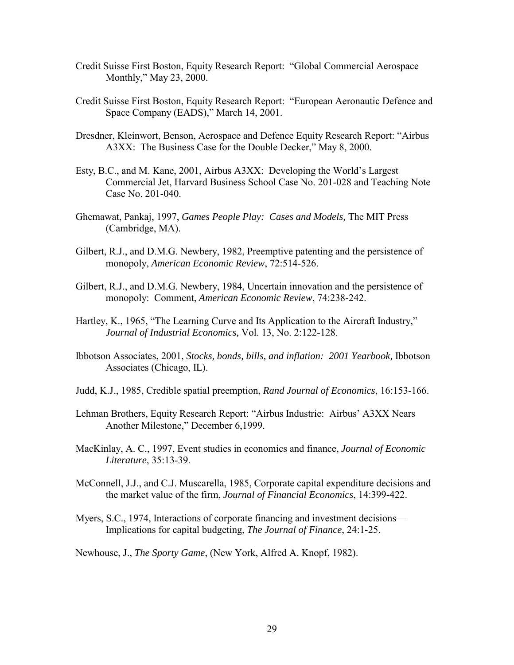- Credit Suisse First Boston, Equity Research Report: "Global Commercial Aerospace Monthly," May 23, 2000.
- Credit Suisse First Boston, Equity Research Report: "European Aeronautic Defence and Space Company (EADS)," March 14, 2001.
- Dresdner, Kleinwort, Benson, Aerospace and Defence Equity Research Report: "Airbus A3XX: The Business Case for the Double Decker," May 8, 2000.
- Esty, B.C., and M. Kane, 2001, Airbus A3XX: Developing the World's Largest Commercial Jet, Harvard Business School Case No. 201-028 and Teaching Note Case No. 201-040.
- Ghemawat, Pankaj, 1997, *Games People Play: Cases and Models,* The MIT Press (Cambridge, MA).
- Gilbert, R.J., and D.M.G. Newbery, 1982, Preemptive patenting and the persistence of monopoly, *American Economic Review*, 72:514-526.
- Gilbert, R.J., and D.M.G. Newbery, 1984, Uncertain innovation and the persistence of monopoly: Comment, *American Economic Review*, 74:238-242.
- Hartley, K., 1965, "The Learning Curve and Its Application to the Aircraft Industry," *Journal of Industrial Economics,* Vol. 13, No. 2:122-128.
- Ibbotson Associates, 2001, *Stocks, bonds, bills, and inflation: 2001 Yearbook,* Ibbotson Associates (Chicago, IL).
- Judd, K.J., 1985, Credible spatial preemption, *Rand Journal of Economics*, 16:153-166.
- Lehman Brothers, Equity Research Report: "Airbus Industrie: Airbus' A3XX Nears Another Milestone," December 6,1999.
- MacKinlay, A. C., 1997, Event studies in economics and finance, *Journal of Economic Literature*, 35:13-39.
- McConnell, J.J., and C.J. Muscarella, 1985, Corporate capital expenditure decisions and the market value of the firm, *Journal of Financial Economics*, 14:399-422.
- Myers, S.C., 1974, Interactions of corporate financing and investment decisions— Implications for capital budgeting, *The Journal of Finance*, 24:1-25.

Newhouse, J., *The Sporty Game*, (New York, Alfred A. Knopf, 1982).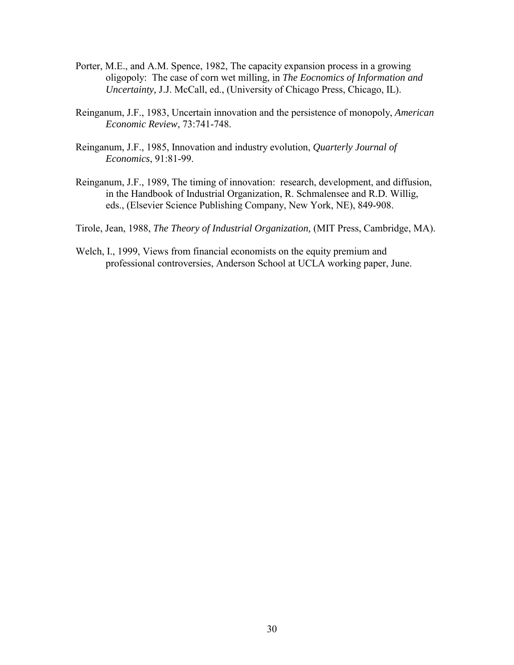- Porter, M.E., and A.M. Spence, 1982, The capacity expansion process in a growing oligopoly: The case of corn wet milling, in *The Eocnomics of Information and Uncertainty,* J.J. McCall, ed., (University of Chicago Press, Chicago, IL).
- Reinganum, J.F., 1983, Uncertain innovation and the persistence of monopoly, *American Economic Review*, 73:741-748.
- Reinganum, J.F., 1985, Innovation and industry evolution, *Quarterly Journal of Economics*, 91:81-99.
- Reinganum, J.F., 1989, The timing of innovation: research, development, and diffusion, in the Handbook of Industrial Organization, R. Schmalensee and R.D. Willig, eds., (Elsevier Science Publishing Company, New York, NE), 849-908.
- Tirole, Jean, 1988, *The Theory of Industrial Organization,* (MIT Press, Cambridge, MA).
- Welch, I., 1999, Views from financial economists on the equity premium and professional controversies, Anderson School at UCLA working paper, June.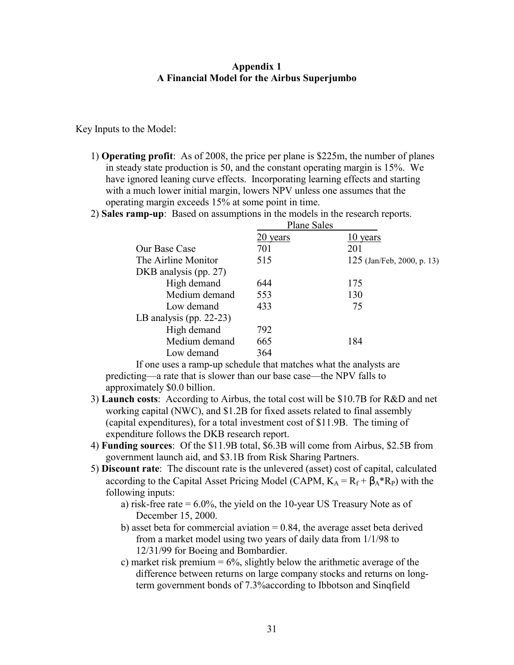#### **Appendix 1 A Financial Model for the Airbus Superjumbo**

Key Inputs to the Model:

- 1) **Operating profit**: As of 2008, the price per plane is \$225m, the number of planes in steady state production is 50, and the constant operating margin is 15%. We have ignored leaning curve effects. Incorporating learning effects and starting with a much lower initial margin, lowers NPV unless one assumes that the operating margin exceeds 15% at some point in time.
- 2) **Sales ramp-up**: Based on assumptions in the models in the research reports.

| <b>Plane Sales</b> |                            |
|--------------------|----------------------------|
| 20 years           | 10 years                   |
| 701                | 201                        |
| 515                | 125 (Jan/Feb, 2000, p. 13) |
|                    |                            |
| 644                | 175                        |
| 553                | 130                        |
| 433                | 75                         |
|                    |                            |
| 792                |                            |
| 665                | 184                        |
| 364                |                            |
|                    |                            |

If one uses a ramp-up schedule that matches what the analysts are predicting—a rate that is slower than our base case—the NPV falls to approximately \$0.0 billion.

- 3) **Launch costs**: According to Airbus, the total cost will be \$10.7B for R&D and net working capital (NWC), and \$1.2B for fixed assets related to final assembly (capital expenditures), for a total investment cost of \$11.9B. The timing of expenditure follows the DKB research report.
- 4) **Funding sources**: Of the \$11.9B total, \$6.3B will come from Airbus, \$2.5B from government launch aid, and \$3.1B from Risk Sharing Partners.
- 5) **Discount rate**: The discount rate is the unlevered (asset) cost of capital, calculated according to the Capital Asset Pricing Model (CAPM,  $K_A = R_f + \beta_A * R_p$ ) with the following inputs:
	- a) risk-free rate  $= 6.0\%$ , the yield on the 10-year US Treasury Note as of December 15, 2000.
	- b) asset beta for commercial aviation  $= 0.84$ , the average asset beta derived from a market model using two years of daily data from 1/1/98 to 12/31/99 for Boeing and Bombardier.
	- c) market risk premium  $= 6\%$ , slightly below the arithmetic average of the difference between returns on large company stocks and returns on longterm government bonds of 7.3%according to Ibbotson and Sinqfield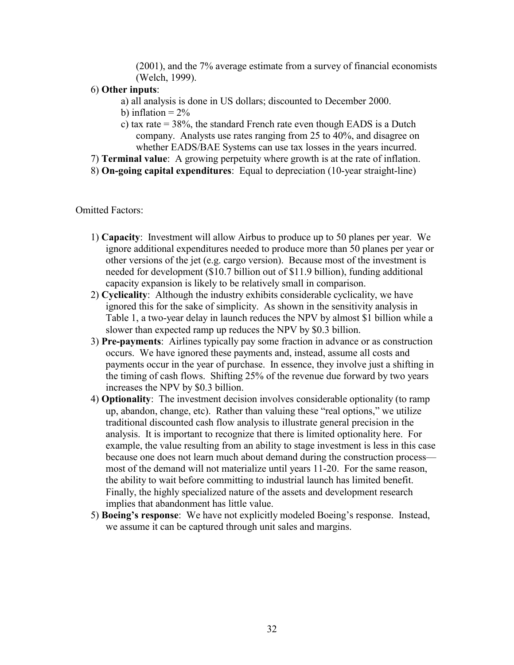(2001), and the 7% average estimate from a survey of financial economists (Welch, 1999).

#### 6) **Other inputs**:

- a) all analysis is done in US dollars; discounted to December 2000.
- b) inflation  $= 2\%$
- c) tax rate = 38%, the standard French rate even though EADS is a Dutch company. Analysts use rates ranging from 25 to 40%, and disagree on whether EADS/BAE Systems can use tax losses in the years incurred.

7) **Terminal value**: A growing perpetuity where growth is at the rate of inflation.

8) **On-going capital expenditures**: Equal to depreciation (10-year straight-line)

Omitted Factors:

- 1) **Capacity**: Investment will allow Airbus to produce up to 50 planes per year. We ignore additional expenditures needed to produce more than 50 planes per year or other versions of the jet (e.g. cargo version). Because most of the investment is needed for development (\$10.7 billion out of \$11.9 billion), funding additional capacity expansion is likely to be relatively small in comparison.
- 2) **Cyclicality**: Although the industry exhibits considerable cyclicality, we have ignored this for the sake of simplicity. As shown in the sensitivity analysis in Table 1, a two-year delay in launch reduces the NPV by almost \$1 billion while a slower than expected ramp up reduces the NPV by \$0.3 billion.
- 3) **Pre-payments**: Airlines typically pay some fraction in advance or as construction occurs. We have ignored these payments and, instead, assume all costs and payments occur in the year of purchase. In essence, they involve just a shifting in the timing of cash flows. Shifting 25% of the revenue due forward by two years increases the NPV by \$0.3 billion.
- 4) **Optionality**: The investment decision involves considerable optionality (to ramp up, abandon, change, etc). Rather than valuing these "real options," we utilize traditional discounted cash flow analysis to illustrate general precision in the analysis. It is important to recognize that there is limited optionality here. For example, the value resulting from an ability to stage investment is less in this case because one does not learn much about demand during the construction process most of the demand will not materialize until years 11-20. For the same reason, the ability to wait before committing to industrial launch has limited benefit. Finally, the highly specialized nature of the assets and development research implies that abandonment has little value.
- 5) **Boeing's response**: We have not explicitly modeled Boeing's response. Instead, we assume it can be captured through unit sales and margins.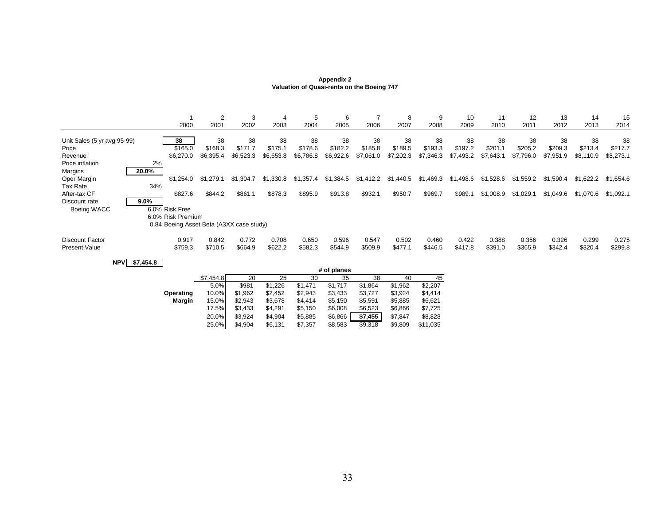#### **Appendix 2 Valuation of Quasi-rents on the Boeing 747**

|                             |                                          | $\overline{2}$ | 3         | 4         | 5         | 6         |           | 8         | 9         | 10        | 11        | 12        | 13        | 14        | 15        |
|-----------------------------|------------------------------------------|----------------|-----------|-----------|-----------|-----------|-----------|-----------|-----------|-----------|-----------|-----------|-----------|-----------|-----------|
|                             | 2000                                     | 2001           | 2002      | 2003      | 2004      | 2005      | 2006      | 2007      | 2008      | 2009      | 2010      | 2011      | 2012      | 2013      | 2014      |
|                             |                                          |                |           |           |           |           |           |           |           |           |           |           |           |           |           |
| Unit Sales (5 yr avg 95-99) | 38                                       | 38             | 38        | 38        | 38        | 38        | 38        | 38        | 38        | 38        | 38        | 38        | 38        | 38        | 38        |
| Price                       | \$165.0                                  | \$168.3        | \$171.7   | \$175.1   | \$178.6   | \$182.2   | \$185.8   | \$189.5   | \$193.3   | \$197.2   | \$201.1   | \$205.2   | \$209.3   | \$213.4   | \$217.7   |
| Revenue                     | \$6,270.0                                | \$6,395.4      | \$6,523.3 | \$6,653.8 | \$6,786.8 | \$6,922.6 | \$7,061.0 | \$7,202.3 | \$7,346.3 | \$7,493.2 | \$7,643.1 | \$7,796.0 | \$7,951.9 | \$8,110.9 | \$8,273.1 |
| 2%<br>Price inflation       |                                          |                |           |           |           |           |           |           |           |           |           |           |           |           |           |
| 20.0%<br>Margins            |                                          |                |           |           |           |           |           |           |           |           |           |           |           |           |           |
| Oper Margin                 | \$1,254.0                                | \$1.279.1      | \$1,304.7 | \$1.330.8 | \$1.357.4 | \$1,384.5 | \$1,412.2 | \$1,440.5 | \$1,469.3 | \$1,498.6 | \$1,528.6 | \$1,559.2 | \$1,590.4 | \$1,622.2 | \$1,654.6 |
| Tax Rate<br>34%             |                                          |                |           |           |           |           |           |           |           |           |           |           |           |           |           |
| After-tax CF                | \$827.6                                  | \$844.2        | \$861.1   | \$878.3   | \$895.9   | \$913.8   | \$932.1   | \$950.7   | \$969.7   | \$989.1   | \$1,008.9 | \$1,029.1 | \$1,049.6 | \$1,070.6 | \$1,092.1 |
| $9.0\%$<br>Discount rate    |                                          |                |           |           |           |           |           |           |           |           |           |           |           |           |           |
| Boeing WACC                 | 6.0% Risk Free                           |                |           |           |           |           |           |           |           |           |           |           |           |           |           |
|                             | 6.0% Risk Premium                        |                |           |           |           |           |           |           |           |           |           |           |           |           |           |
|                             | 0.84 Boeing Asset Beta (A3XX case study) |                |           |           |           |           |           |           |           |           |           |           |           |           |           |
| <b>Discount Factor</b>      | 0.917                                    | 0.842          | 0.772     | 0.708     | 0.650     | 0.596     | 0.547     | 0.502     | 0.460     | 0.422     | 0.388     | 0.356     | 0.326     | 0.299     | 0.275     |
| <b>Present Value</b>        | \$759.3                                  | \$710.5        | \$664.9   | \$622.2   | \$582.3   | \$544.9   | \$509.9   | \$477.1   | \$446.5   | \$417.8   | \$391.0   | \$365.9   | \$342.4   | \$320.4   | \$299.8   |
|                             |                                          |                |           |           |           |           |           |           |           |           |           |           |           |           |           |
| NPV \$7,454.8               |                                          |                |           |           |           |           |           |           |           |           |           |           |           |           |           |

|           | # of planes |         |         |         |         |         |         |          |  |  |  |
|-----------|-------------|---------|---------|---------|---------|---------|---------|----------|--|--|--|
|           | \$7,454.8   | 20      | 25      | 30      | 35      | 38      | 40      | 45       |  |  |  |
|           | 5.0%        | \$981   | \$1.226 | \$1.471 | \$1.717 | \$1.864 | \$1.962 | \$2.207  |  |  |  |
| Operating | 10.0%       | \$1,962 | \$2,452 | \$2.943 | \$3,433 | \$3,727 | \$3.924 | \$4.414  |  |  |  |
| Margin    | 15.0%       | \$2.943 | \$3.678 | \$4,414 | \$5.150 | \$5.591 | \$5.885 | \$6,621  |  |  |  |
|           | 17.5%       | \$3.433 | \$4.291 | \$5,150 | \$6,008 | \$6.523 | \$6.866 | \$7,725  |  |  |  |
|           | 20.0%       | \$3.924 | \$4,904 | \$5,885 | \$6,866 | \$7,455 | \$7.847 | \$8,828  |  |  |  |
|           | 25.0%       | \$4,904 | \$6,131 | \$7,357 | \$8,583 | \$9,318 | \$9,809 | \$11,035 |  |  |  |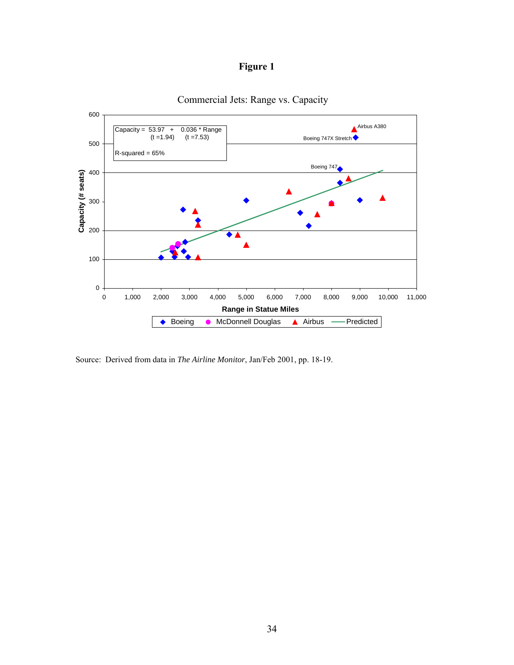## **Figure 1**



Commercial Jets: Range vs. Capacity

Source: Derived from data in *The Airline Monitor*, Jan/Feb 2001, pp. 18-19.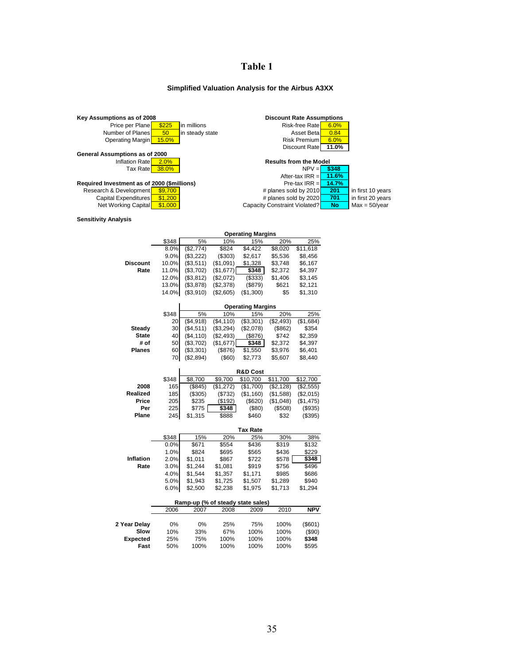### **Table 1**

#### **Simplified Valuation Analysis for the Airbus A3XX**

| Key Assumptions as of 2008                  |                               |           |                                                                                            |  |  |  |
|---------------------------------------------|-------------------------------|-----------|--------------------------------------------------------------------------------------------|--|--|--|
| \$225<br>in millions                        |                               | 6.0%      |                                                                                            |  |  |  |
| in steady state<br>50 <sup>°</sup>          | Asset Beta                    | 0.84      |                                                                                            |  |  |  |
| 15.0%                                       | <b>Risk Premium</b>           | 6.0%      |                                                                                            |  |  |  |
|                                             | <b>Discount Rate</b>          | 11.0%     |                                                                                            |  |  |  |
| General Assumptions as of 2000              |                               |           |                                                                                            |  |  |  |
| 2.0%                                        |                               |           |                                                                                            |  |  |  |
| 38.0%                                       | $NPV =$                       | \$348     |                                                                                            |  |  |  |
|                                             | After-tax $IRR =$             | 11.6%     |                                                                                            |  |  |  |
| Required Investment as of 2000 (\$millions) | Pre-tax $IRR =$               | 14.7%     |                                                                                            |  |  |  |
| \$9.700                                     | # planes sold by 2010         | 201       | in first 10 years                                                                          |  |  |  |
| \$1,200                                     | # planes sold by 2020         | 701       | in first 20 years                                                                          |  |  |  |
| \$1,000                                     | Capacity Constraint Violated? | <b>No</b> | $Max = 50/year$                                                                            |  |  |  |
|                                             |                               |           | <b>Discount Rate Assumptions</b><br><b>Risk-free Rate</b><br><b>Results from the Model</b> |  |  |  |

#### **Sensitivity Analysis**

|       | <b>Operating Margins</b> |                                                   |           |         |          |  |  |  |  |  |  |  |  |  |
|-------|--------------------------|---------------------------------------------------|-----------|---------|----------|--|--|--|--|--|--|--|--|--|
| \$348 | 5%                       | 10%                                               | 15%       | 20%     | 25%      |  |  |  |  |  |  |  |  |  |
| 8.0%  | (\$2,774)                | \$824                                             | \$4.422   | \$8,020 | \$11,618 |  |  |  |  |  |  |  |  |  |
|       | (\$3,222)                | (\$303)                                           | \$2,617   | \$5,536 | \$8,456  |  |  |  |  |  |  |  |  |  |
|       | (\$3,511)                | (\$1,091)                                         | \$1,328   | \$3.748 | \$6,167  |  |  |  |  |  |  |  |  |  |
|       | (\$3,702)                | (\$1,677)                                         | \$348     | \$2,372 | \$4,397  |  |  |  |  |  |  |  |  |  |
|       | (\$3,812)                | (\$2,072)                                         | ( \$333)  | \$1,406 | \$3,145  |  |  |  |  |  |  |  |  |  |
|       | (\$3,878)                | (\$2,378)                                         | (\$879)   | \$621   | \$2,121  |  |  |  |  |  |  |  |  |  |
|       | (\$3,910)                | (\$2,605)                                         | (\$1,300) | \$5     | \$1,310  |  |  |  |  |  |  |  |  |  |
|       |                          | 9.0%<br>10.0%<br>11.0%<br>12.0%<br>13.0%<br>14.0% |           |         |          |  |  |  |  |  |  |  |  |  |

|               |                 | <b>Operating Margins</b> |            |            |           |           |  |  |  |  |  |  |
|---------------|-----------------|--------------------------|------------|------------|-----------|-----------|--|--|--|--|--|--|
|               | \$348           | 5%                       | 10%        | 15%        | 20%       | 25%       |  |  |  |  |  |  |
|               | 20              | (S4.918)                 | (S4.110)   | (\$3,301)  | (\$2,493) | (\$1,684) |  |  |  |  |  |  |
| Steady        | 30 <sup>1</sup> | (S4.511)                 | (\$3,294)  | (\$2,078)  | (\$862)   | \$354     |  |  |  |  |  |  |
| <b>State</b>  | 40              | (\$4,110)                | (\$2,493)  | $($ \$876) | \$742     | \$2,359   |  |  |  |  |  |  |
| # of          | 50              | (\$3,702)                | (\$1,677)  | \$348      | \$2.372   | \$4.397   |  |  |  |  |  |  |
| <b>Planes</b> | 60              | (\$3,301)                | $($ \$876) | \$1,550    | \$3.976   | \$6.401   |  |  |  |  |  |  |
|               | 70              | \$2,894                  | $($ \$60)  | \$2,773    | \$5,607   | \$8,440   |  |  |  |  |  |  |

|          |       |            |          | <b>R&amp;D Cost</b> |           |            |
|----------|-------|------------|----------|---------------------|-----------|------------|
|          | \$348 | \$8.700    | \$9.700  | \$10.700            | \$11.700  | \$12.700   |
| 2008     | 165   | (S845)     | (S1.272) | (S1.700)            | (\$2,128) | (\$2,555)  |
| Realized | 185   | $($ \$305) | (S732)   | (S1.160)            | (\$1,588) | (\$2,015)  |
| Price    | 205   | \$235      | (S192)   | $($ \$620)          | (S1.048)  | (\$1,475)  |
| Per      | 225   | \$775      | \$348    | (\$80)              | (S508)    | $($ \$935) |
| Plane    | 245   | \$1,315    | \$888    | \$460               | \$32      | $($ \$395) |

|           | Tax Rate |                                                                    |         |         |         |         |  |  |  |  |  |  |
|-----------|----------|--------------------------------------------------------------------|---------|---------|---------|---------|--|--|--|--|--|--|
|           | \$348    | 15%                                                                | 20%     | 25%     | 30%     | 38%     |  |  |  |  |  |  |
|           | 0.0%     | \$671                                                              | \$554   | \$436   | \$319   | \$132   |  |  |  |  |  |  |
|           | 1.0%     | \$824                                                              | \$695   | \$565   | \$436   | \$229   |  |  |  |  |  |  |
| Inflation | 2.0%     | \$1.011                                                            | \$867   | \$722   | \$578   | \$348   |  |  |  |  |  |  |
| Rate      | 3.0%     | \$1.244                                                            | \$1.081 | \$919   | \$756   | \$496   |  |  |  |  |  |  |
|           | 4.0%     | \$1.544                                                            | \$1.357 | \$1.171 | \$985   | \$686   |  |  |  |  |  |  |
|           | 5.0%     | \$1.943                                                            | \$1,725 | \$1,507 | \$1,289 | \$940   |  |  |  |  |  |  |
|           | 6.0%     | \$2,500                                                            | \$2,238 | \$1,975 | \$1.713 | \$1,294 |  |  |  |  |  |  |
|           |          | $D_{\text{max}}$ $\ldots$ $M_{\text{max}}$ at atooshy otota colool |         |         |         |         |  |  |  |  |  |  |

|                 | Ramp-up (% of steady state sales) |      |      |      |      |            |
|-----------------|-----------------------------------|------|------|------|------|------------|
|                 | 2006                              | 2007 | 2008 | 2009 | 2010 | <b>NPV</b> |
|                 |                                   |      |      |      |      |            |
| 2 Year Delay    | 0%                                | 0%   | 25%  | 75%  | 100% | (S601)     |
| Slow            | 10%                               | 33%  | 67%  | 100% | 100% | $($ \$90)  |
| <b>Expected</b> | 25%                               | 75%  | 100% | 100% | 100% | \$348      |
| Fast            | 50%                               | 100% | 100% | 100% | 100% | \$595      |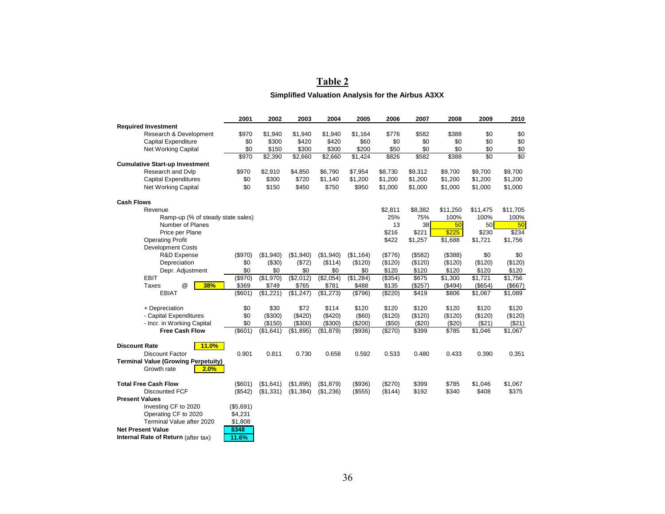#### **Table 2**

#### **Simplified Valuation Analysis for the Airbus A3XX**

|                                                         | 2001       | 2002            | 2003      | 2004              | 2005      | 2006    | 2007    | 2008            | 2009       | 2010     |
|---------------------------------------------------------|------------|-----------------|-----------|-------------------|-----------|---------|---------|-----------------|------------|----------|
| <b>Required Investment</b>                              |            |                 |           |                   |           |         |         |                 |            |          |
| Research & Development                                  | \$970      | \$1,940         | \$1,940   | \$1,940           | \$1,164   | \$776   | \$582   | \$388           | \$0        | \$0      |
| <b>Capital Expenditure</b>                              | \$0        | \$300           | \$420     | \$420             | \$60      | \$0     | \$0     | \$0             | \$0        | \$0      |
| <b>Net Working Capital</b>                              | \$0        | \$150           | \$300     | \$300             | \$200     | \$50    | \$0     | \$0             | \$0        | \$0      |
|                                                         | \$970      | \$2,390         | \$2,660   | \$2,660           | \$1,424   | \$826   | \$582   | \$388           | \$0        | \$0      |
| <b>Cumulative Start-up Investment</b>                   |            |                 |           |                   |           |         |         |                 |            |          |
| Research and Dvlp                                       | \$970      | \$2,910         | \$4,850   | \$6,790           | \$7,954   | \$8,730 | \$9,312 | \$9,700         | \$9,700    | \$9,700  |
| <b>Capital Expenditures</b>                             | \$0        | \$300           | \$720     | \$1,140           | \$1,200   | \$1,200 | \$1,200 | \$1,200         | \$1,200    | \$1,200  |
| <b>Net Working Capital</b>                              | \$0        | \$150           | \$450     | \$750             | \$950     | \$1,000 | \$1,000 | \$1,000         | \$1,000    | \$1,000  |
| <b>Cash Flows</b>                                       |            |                 |           |                   |           |         |         |                 |            |          |
| Revenue                                                 |            |                 |           |                   |           | \$2,811 | \$8,382 | \$11,250        | \$11,475   | \$11,705 |
| Ramp-up (% of steady state sales)                       |            |                 |           |                   |           | 25%     | 75%     | 100%            | 100%       | 100%     |
| Number of Planes                                        |            |                 |           |                   |           | 13      | 38      | 50 <sub>0</sub> | 50         | 50       |
| Price per Plane                                         |            |                 |           |                   |           | \$216   | \$221   | \$225           | \$230      | \$234    |
| <b>Operating Profit</b>                                 |            |                 |           |                   |           | \$422   | \$1,257 | \$1,688         | \$1,721    | \$1,756  |
| <b>Development Costs</b>                                |            |                 |           |                   |           |         |         |                 |            |          |
| R&D Expense                                             | (\$970)    | (\$1,940)       | (\$1,940) | (\$1,940)         | (\$1,164) | (\$776) | (\$582) | (\$388)         | \$0        | \$0      |
| Depreciation                                            | \$0        | (\$30)          | (\$72)    | (\$114)           | (\$120)   | (\$120) | (\$120) | (\$120)         | (\$120)    | (\$120)  |
| Depr. Adjustment                                        | \$0        | \$0             | \$0       | \$0               | \$0       | \$120   | \$120   | \$120           | \$120      | \$120    |
| <b>EBIT</b>                                             | $($ \$970) | (\$1,970)       | (\$2,012) | (\$2,054)         | (\$1,284) | (\$354) | \$675   | \$1,300         | \$1,721    | \$1,756  |
| 38%<br>Taxes<br>$^{\circledR}$                          | \$369      | \$749           | \$765     | \$781             | \$488     | \$135   | (\$257) | ( \$494)        | $($ \$654) | (\$667)  |
| <b>EBIAT</b>                                            | $($ \$601) | $\sqrt{$1,221}$ | (\$1,247) | $\sqrt{($1,273)}$ | (\$796)   | (\$220) | \$419   | \$806           | \$1,067    | \$1,089  |
| + Depreciation                                          | \$0        | \$30            | \$72      | \$114             | \$120     | \$120   | \$120   | \$120           | \$120      | \$120    |
| - Capital Expenditures                                  | \$0        | (\$300)         | (\$420)   | (\$420)           | (\$60)    | (\$120) | (\$120) | (\$120)         | (\$120)    | (\$120)  |
| - Incr. in Working Capital                              | \$0        | (\$150)         | (\$300)   | (\$300)           | (\$200)   | (\$50)  | (\$20)  | (\$20)          | (\$21)     | (\$21)   |
| <b>Free Cash Flow</b>                                   | $($ \$601) | (\$1,641)       | (\$1,895) | (\$1,879)         | (\$936)   | (\$270) | \$399   | \$785           | \$1,046    | \$1,067  |
|                                                         |            |                 |           |                   |           |         |         |                 |            |          |
| 11.0%<br><b>Discount Rate</b><br><b>Discount Factor</b> | 0.901      | 0.811           | 0.730     | 0.658             | 0.592     | 0.533   | 0.480   | 0.433           | 0.390      | 0.351    |
| <b>Terminal Value (Growing Perpetuity)</b>              |            |                 |           |                   |           |         |         |                 |            |          |
| Growth rate<br>2.0%                                     |            |                 |           |                   |           |         |         |                 |            |          |
|                                                         |            |                 |           |                   |           |         |         |                 |            |          |
| <b>Total Free Cash Flow</b>                             | $($ \$601) | (\$1,641)       | (\$1,895) | (\$1,879)         | ( \$936)  | (\$270) | \$399   | \$785           | \$1.046    | \$1.067  |
| <b>Discounted FCF</b>                                   | (\$542)    | (\$1,331)       | (\$1,384) | (\$1,236)         | (\$555)   | (\$144) | \$192   | \$340           | \$408      | \$375    |
| <b>Present Values</b>                                   |            |                 |           |                   |           |         |         |                 |            |          |
| Investing CF to 2020                                    | (\$5,691)  |                 |           |                   |           |         |         |                 |            |          |
| Operating CF to 2020                                    | \$4,231    |                 |           |                   |           |         |         |                 |            |          |
| Terminal Value after 2020                               | \$1,808    |                 |           |                   |           |         |         |                 |            |          |
| <b>Net Present Value</b>                                | \$348      |                 |           |                   |           |         |         |                 |            |          |
| Internal Rate of Return (after tax)                     | 11.6%      |                 |           |                   |           |         |         |                 |            |          |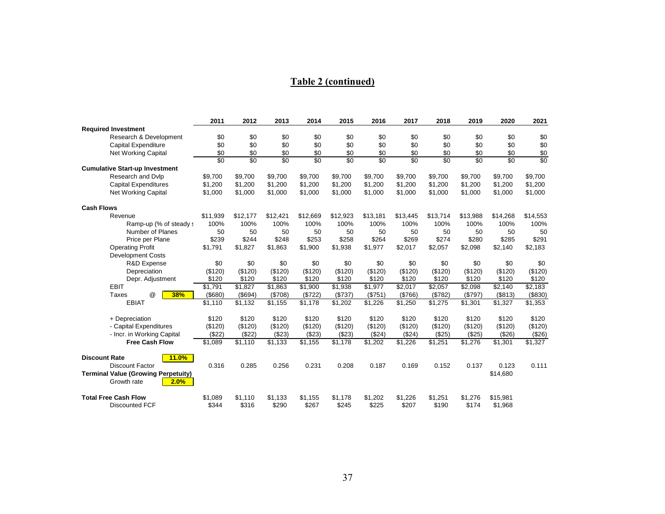#### **Table 2 (continued)**

|                                                                   | 2011            | 2012            | 2013            | 2014     | 2015            | 2016            | 2017            | 2018     | 2019            | 2020            | 2021            |
|-------------------------------------------------------------------|-----------------|-----------------|-----------------|----------|-----------------|-----------------|-----------------|----------|-----------------|-----------------|-----------------|
| <b>Required Investment</b>                                        |                 |                 |                 |          |                 |                 |                 |          |                 |                 |                 |
| Research & Development                                            | \$0             | \$0             | \$0             | \$0      | \$0             | \$0             | \$0             | \$0      | \$0             | \$0             | \$0             |
| Capital Expenditure                                               | \$0             | \$0             | \$0             | \$0      | \$0             | \$0             | \$0             | \$0      | \$0             | \$0             | \$0             |
| <b>Net Working Capital</b>                                        | \$0             | \$0             | \$0             | \$0      | \$0             | \$0             | \$0             | \$0      | \$0             | \$0             | \$0             |
|                                                                   | $\overline{30}$ | $\overline{30}$ | $\overline{30}$ | \$0      | $\overline{30}$ | $\overline{30}$ | $\overline{50}$ | \$0      | $\overline{30}$ | $\overline{50}$ | \$0             |
| <b>Cumulative Start-up Investment</b>                             |                 |                 |                 |          |                 |                 |                 |          |                 |                 |                 |
| Research and Dvlp                                                 | \$9,700         | \$9.700         | \$9,700         | \$9,700  | \$9,700         | \$9,700         | \$9.700         | \$9,700  | \$9.700         | \$9,700         | \$9,700         |
| <b>Capital Expenditures</b>                                       | \$1,200         | \$1,200         | \$1,200         | \$1,200  | \$1,200         | \$1,200         | \$1,200         | \$1,200  | \$1,200         | \$1,200         | \$1,200         |
| <b>Net Working Capital</b>                                        | \$1,000         | \$1,000         | \$1,000         | \$1,000  | \$1,000         | \$1,000         | \$1,000         | \$1,000  | \$1,000         | \$1,000         | \$1,000         |
| <b>Cash Flows</b>                                                 |                 |                 |                 |          |                 |                 |                 |          |                 |                 |                 |
| Revenue                                                           | \$11,939        | \$12,177        | \$12,421        | \$12,669 | \$12,923        | \$13,181        | \$13,445        | \$13,714 | \$13,988        | \$14,268        | \$14,553        |
| Ramp-up (% of steady s)                                           | 100%            | 100%            | 100%            | 100%     | 100%            | 100%            | 100%            | 100%     | 100%            | 100%            | 100%            |
| Number of Planes                                                  | 50              | 50              | 50              | 50       | 50              | 50              | 50              | 50       | 50              | 50              | 50              |
| Price per Plane                                                   | \$239           | \$244           | \$248           | \$253    | \$258           | \$264           | \$269           | \$274    | \$280           | \$285           | \$291           |
| <b>Operating Profit</b>                                           | \$1,791         | \$1,827         | \$1,863         | \$1,900  | \$1,938         | \$1,977         | \$2,017         | \$2,057  | \$2,098         | \$2,140         | \$2,183         |
| <b>Development Costs</b>                                          |                 |                 |                 |          |                 |                 |                 |          |                 |                 |                 |
| R&D Expense                                                       | \$0             | \$0             | \$0             | \$0      | \$0             | \$0             | \$0             | \$0      | \$0             | \$0             | \$0             |
| Depreciation                                                      | (\$120)         | (\$120)         | (\$120)         | (\$120)  | (\$120)         | (\$120)         | (\$120)         | (\$120)  | (\$120)         | (\$120)         | (\$120)         |
| Depr. Adjustment                                                  | \$120           | \$120           | \$120           | \$120    | \$120           | \$120           | \$120           | \$120    | \$120           | \$120           | \$120           |
| <b>EBIT</b>                                                       | \$1,791         | \$1,827         | \$1.863         | \$1,900  | \$1.938         | \$1,977         | \$2,017         | \$2,057  | \$2,098         | \$2,140         | $\sqrt{$2,183}$ |
| @<br>38%<br>Taxes                                                 | $($ \$680)      | $($ \$694)      | (\$708)         | (\$722)  | (\$737)         | (\$751)         | (\$766)         | ( \$782) | (\$797)         | (\$813)         | (\$830)         |
| <b>EBIAT</b>                                                      | \$1,110         | \$1,132         | \$1,155         | \$1,178  | \$1,202         | \$1,226         | \$1,250         | \$1,275  | \$1,301         | \$1,327         | \$1,353         |
| + Depreciation                                                    | \$120           | \$120           | \$120           | \$120    | \$120           | \$120           | \$120           | \$120    | \$120           | \$120           | \$120           |
| - Capital Expenditures                                            | (\$120)         | (\$120)         | (\$120)         | (\$120)  | (\$120)         | (\$120)         | (\$120)         | (\$120)  | (\$120)         | (\$120)         | (\$120)         |
| - Incr. in Working Capital                                        | (\$22)          | (\$22)          | (\$23)          | (\$23)   | (\$23)          | (\$24)          | (\$24)          | (\$25)   | (\$25)          | (\$26)          | (\$26)          |
| <b>Free Cash Flow</b>                                             | \$1,089         | \$1,110         | \$1,133         | \$1,155  | \$1,178         | \$1,202         | \$1,226         | \$1,251  | \$1,276         | \$1,301         | \$1,327         |
| 11.0%<br><b>Discount Rate</b>                                     |                 |                 |                 |          |                 |                 |                 |          |                 |                 |                 |
| <b>Discount Factor</b>                                            | 0.316           | 0.285           | 0.256           | 0.231    | 0.208           | 0.187           | 0.169           | 0.152    | 0.137           | 0.123           | 0.111           |
| <b>Terminal Value (Growing Perpetuity)</b><br>Growth rate<br>2.0% |                 |                 |                 |          |                 |                 |                 |          |                 | \$14,680        |                 |
|                                                                   |                 |                 |                 |          |                 |                 |                 |          |                 |                 |                 |
| <b>Total Free Cash Flow</b>                                       | \$1,089         | \$1,110         | \$1,133         | \$1,155  | \$1,178         | \$1,202         | \$1,226         | \$1,251  | \$1,276         | \$15,981        |                 |
| <b>Discounted FCF</b>                                             | \$344           | \$316           | \$290           | \$267    | \$245           | \$225           | \$207           | \$190    | \$174           | \$1,968         |                 |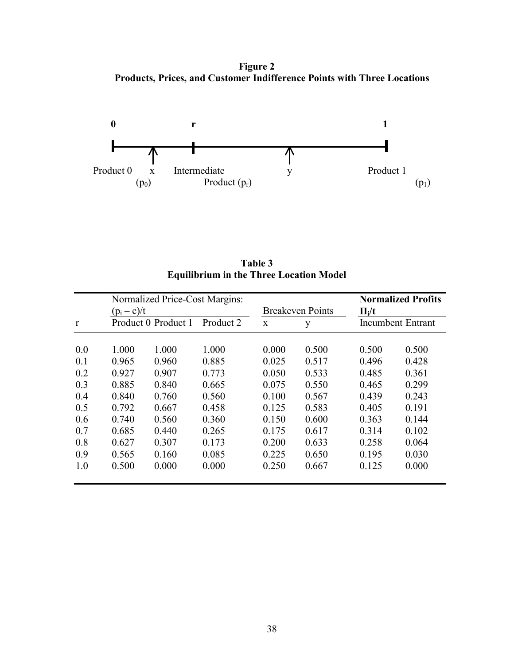**Figure 2 Products, Prices, and Customer Indifference Points with Three Locations** 



**Table 3 Equilibrium in the Three Location Model** 

|              | $(p_i - c)/t$ | Normalized Price-Cost Margins: |       |                                     | <b>Breakeven Points</b> | $\Pi_i/t$ | <b>Normalized Profits</b> |                   |  |  |
|--------------|---------------|--------------------------------|-------|-------------------------------------|-------------------------|-----------|---------------------------|-------------------|--|--|
| $\mathbf{r}$ |               | Product 2                      |       | Product 0 Product 1<br>$\mathbf{x}$ |                         |           | y                         | Incumbent Entrant |  |  |
| 0.0          | 1.000         | 1.000                          | 1.000 | 0.000                               | 0.500                   | 0.500     | 0.500                     |                   |  |  |
| 0.1          | 0.965         | 0.960                          | 0.885 | 0.025                               | 0.517                   | 0.496     | 0.428                     |                   |  |  |
| 0.2          | 0.927         | 0.907                          | 0.773 | 0.050                               | 0.533                   | 0.485     | 0.361                     |                   |  |  |
| 0.3          | 0.885         | 0.840                          | 0.665 | 0.075                               | 0.550                   | 0.465     | 0.299                     |                   |  |  |
| 0.4          | 0.840         | 0.760                          | 0.560 | 0.100                               | 0.567                   | 0.439     | 0.243                     |                   |  |  |
| 0.5          | 0.792         | 0.667                          | 0.458 | 0.125                               | 0.583                   | 0.405     | 0.191                     |                   |  |  |
| 0.6          | 0.740         | 0.560                          | 0.360 | 0.150                               | 0.600                   | 0.363     | 0.144                     |                   |  |  |
| 0.7          | 0.685         | 0.440                          | 0.265 | 0.175                               | 0.617                   | 0.314     | 0.102                     |                   |  |  |
| 0.8          | 0.627         | 0.307                          | 0.173 | 0.200                               | 0.633                   | 0.258     | 0.064                     |                   |  |  |
| 0.9          | 0.565         | 0.160                          | 0.085 | 0.225                               | 0.650                   | 0.195     | 0.030                     |                   |  |  |
| 1.0          | 0.500         | 0.000                          | 0.000 | 0.250                               | 0.667                   | 0.125     | 0.000                     |                   |  |  |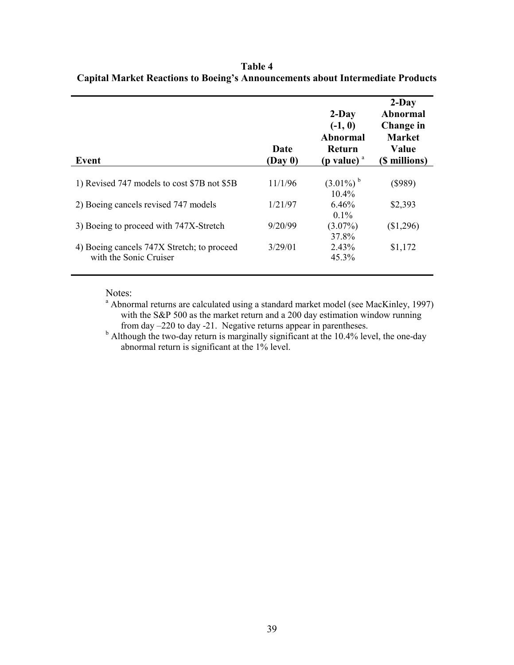| Event                                                                | Date<br>(Day 0) | $2$ -Day<br>$(-1, 0)$<br>Abnormal<br>Return<br>(p value) <sup>a</sup> | $2$ -Day<br>Abnormal<br>Change in<br><b>Market</b><br>Value<br>(\$ millions) |
|----------------------------------------------------------------------|-----------------|-----------------------------------------------------------------------|------------------------------------------------------------------------------|
| 1) Revised 747 models to cost \$7B not \$5B                          | 11/1/96         | $(3.01\%)$ <sup>b</sup>                                               | (\$989)                                                                      |
| 2) Boeing cancels revised 747 models                                 | 1/21/97         | $10.4\%$<br>6.46%<br>$0.1\%$                                          | \$2,393                                                                      |
| 3) Boeing to proceed with 747X-Stretch                               | 9/20/99         | $(3.07\%)$<br>37.8%                                                   | (\$1,296)                                                                    |
| 4) Boeing cancels 747X Stretch; to proceed<br>with the Sonic Cruiser | 3/29/01         | 2.43%<br>45.3%                                                        | \$1,172                                                                      |

**Table 4 Capital Market Reactions to Boeing's Announcements about Intermediate Products** 

Notes:

<sup>a</sup> Abnormal returns are calculated using a standard market model (see MacKinley, 1997) with the S&P 500 as the market return and a 200 day estimation window running from day –220 to day -21. Negative returns appear in parentheses.

<sup>b</sup> Although the two-day return is marginally significant at the 10.4% level, the one-day abnormal return is significant at the 1% level.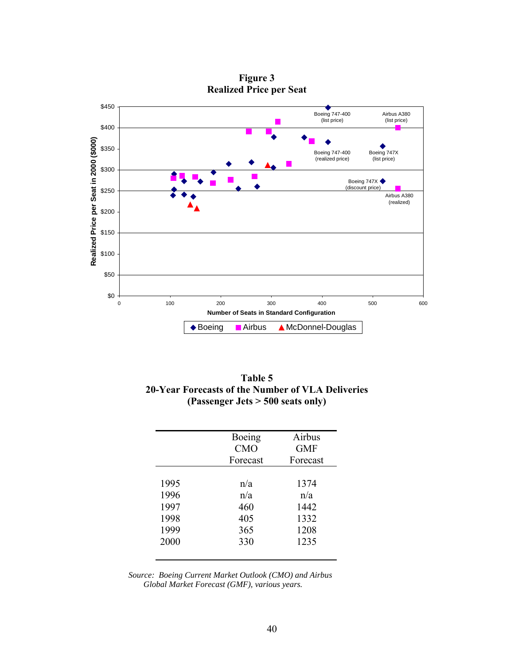

**Figure 3 Realized Price per Seat** 

| Table 5                                           |  |  |
|---------------------------------------------------|--|--|
| 20-Year Forecasts of the Number of VLA Deliveries |  |  |
| (Passenger Jets $> 500$ seats only)               |  |  |

|      | Boeing     | Airbus     |
|------|------------|------------|
|      | <b>CMO</b> | <b>GMF</b> |
|      | Forecast   | Forecast   |
|      |            |            |
| 1995 | n/a        | 1374       |
| 1996 | n/a        | n/a        |
| 1997 | 460        | 1442       |
| 1998 | 405        | 1332       |
| 1999 | 365        | 1208       |
| 2000 | 330        | 1235       |
|      |            |            |

*Source: Boeing Current Market Outlook (CMO) and Airbus Global Market Forecast (GMF), various years.*